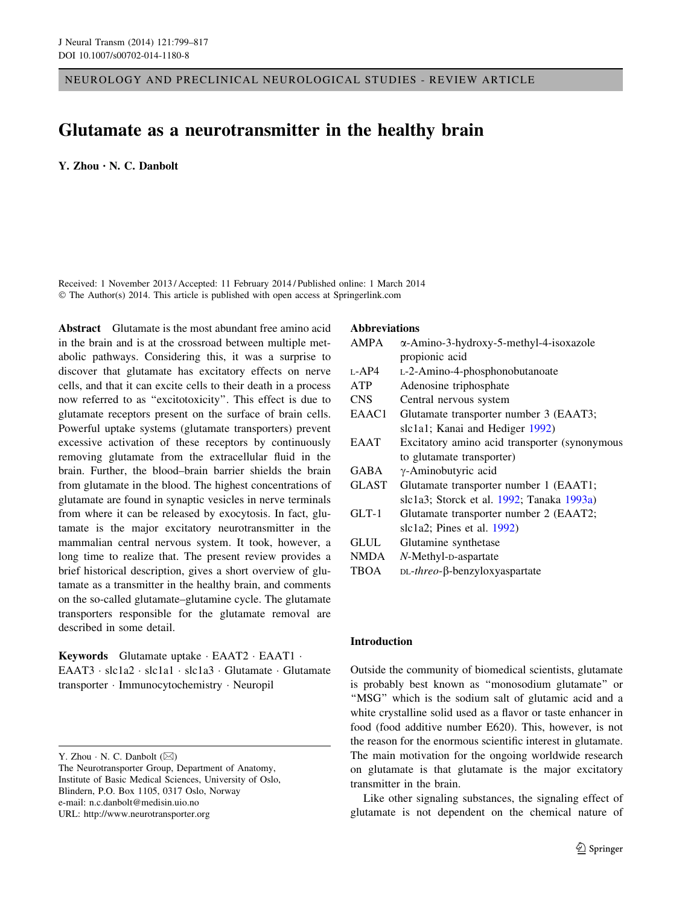NEUROLOGY AND PRECLINICAL NEUROLOGICAL STUDIES - REVIEW ARTICLE

# Glutamate as a neurotransmitter in the healthy brain

Y. Zhou • N. C. Danbolt

Received: 1 November 2013 / Accepted: 11 February 2014 / Published online: 1 March 2014 © The Author(s) 2014. This article is published with open access at Springerlink.com

Abstract Glutamate is the most abundant free amino acid in the brain and is at the crossroad between multiple metabolic pathways. Considering this, it was a surprise to discover that glutamate has excitatory effects on nerve cells, and that it can excite cells to their death in a process now referred to as ''excitotoxicity''. This effect is due to glutamate receptors present on the surface of brain cells. Powerful uptake systems (glutamate transporters) prevent excessive activation of these receptors by continuously removing glutamate from the extracellular fluid in the brain. Further, the blood–brain barrier shields the brain from glutamate in the blood. The highest concentrations of glutamate are found in synaptic vesicles in nerve terminals from where it can be released by exocytosis. In fact, glutamate is the major excitatory neurotransmitter in the mammalian central nervous system. It took, however, a long time to realize that. The present review provides a brief historical description, gives a short overview of glutamate as a transmitter in the healthy brain, and comments on the so-called glutamate–glutamine cycle. The glutamate transporters responsible for the glutamate removal are described in some detail.

Keywords Glutamate uptake · EAAT2 · EAAT1 · EAAT3 · slc1a2 · slc1a1 · slc1a3 · Glutamate · Glutamate transporter - Immunocytochemistry - Neuropil

#### Abbreviations

| <b>AMPA</b>  | $\alpha$ -Amino-3-hydroxy-5-methyl-4-isoxazole  |  |
|--------------|-------------------------------------------------|--|
|              | propionic acid                                  |  |
| $L-AP4$      | L-2-Amino-4-phosphonobutanoate                  |  |
| <b>ATP</b>   | Adenosine triphosphate                          |  |
| <b>CNS</b>   | Central nervous system                          |  |
| EAAC1        | Glutamate transporter number 3 (EAAT3;          |  |
|              | slc1a1; Kanai and Hediger 1992)                 |  |
| EAAT         | Excitatory amino acid transporter (synonymous   |  |
|              | to glutamate transporter)                       |  |
| GABA         | γ-Aminobutyric acid                             |  |
| <b>GLAST</b> | Glutamate transporter number 1 (EAAT1;          |  |
|              | slc1a3; Storck et al. 1992; Tanaka 1993a)       |  |
| $GLT-1$      | Glutamate transporter number 2 (EAAT2;          |  |
|              | slc1a2; Pines et al. $1992$ )                   |  |
| GLUL         | Glutamine synthetase                            |  |
| NMDA         | N-Methyl-p-aspartate                            |  |
| TBOA         | $DL\text{-}three$ - $\beta$ -benzyloxyaspartate |  |

### Introduction

Outside the community of biomedical scientists, glutamate is probably best known as ''monosodium glutamate'' or "MSG" which is the sodium salt of glutamic acid and a white crystalline solid used as a flavor or taste enhancer in food (food additive number E620). This, however, is not the reason for the enormous scientific interest in glutamate. The main motivation for the ongoing worldwide research on glutamate is that glutamate is the major excitatory transmitter in the brain.

Like other signaling substances, the signaling effect of glutamate is not dependent on the chemical nature of

Y. Zhou  $\cdot$  N. C. Danbolt ( $\boxtimes$ )

The Neurotransporter Group, Department of Anatomy, Institute of Basic Medical Sciences, University of Oslo, Blindern, P.O. Box 1105, 0317 Oslo, Norway e-mail: n.c.danbolt@medisin.uio.no URL: http://www.neurotransporter.org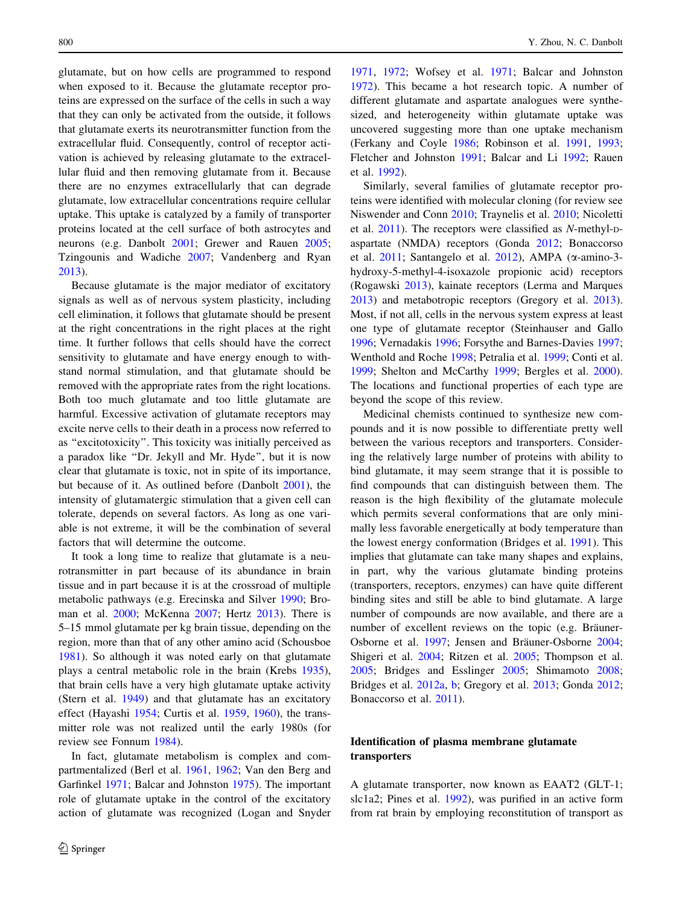glutamate, but on how cells are programmed to respond when exposed to it. Because the glutamate receptor proteins are expressed on the surface of the cells in such a way that they can only be activated from the outside, it follows that glutamate exerts its neurotransmitter function from the extracellular fluid. Consequently, control of receptor activation is achieved by releasing glutamate to the extracellular fluid and then removing glutamate from it. Because there are no enzymes extracellularly that can degrade glutamate, low extracellular concentrations require cellular uptake. This uptake is catalyzed by a family of transporter proteins located at the cell surface of both astrocytes and neurons (e.g. Danbolt [2001](#page-11-0); Grewer and Rauen [2005](#page-12-0); Tzingounis and Wadiche [2007](#page-17-0); Vandenberg and Ryan [2013\)](#page-17-0).

Because glutamate is the major mediator of excitatory signals as well as of nervous system plasticity, including cell elimination, it follows that glutamate should be present at the right concentrations in the right places at the right time. It further follows that cells should have the correct sensitivity to glutamate and have energy enough to withstand normal stimulation, and that glutamate should be removed with the appropriate rates from the right locations. Both too much glutamate and too little glutamate are harmful. Excessive activation of glutamate receptors may excite nerve cells to their death in a process now referred to as ''excitotoxicity''. This toxicity was initially perceived as a paradox like ''Dr. Jekyll and Mr. Hyde'', but it is now clear that glutamate is toxic, not in spite of its importance, but because of it. As outlined before (Danbolt [2001](#page-11-0)), the intensity of glutamatergic stimulation that a given cell can tolerate, depends on several factors. As long as one variable is not extreme, it will be the combination of several factors that will determine the outcome.

It took a long time to realize that glutamate is a neurotransmitter in part because of its abundance in brain tissue and in part because it is at the crossroad of multiple metabolic pathways (e.g. Erecinska and Silver [1990;](#page-12-0) Broman et al. [2000;](#page-11-0) McKenna [2007](#page-15-0); Hertz [2013](#page-13-0)). There is 5–15 mmol glutamate per kg brain tissue, depending on the region, more than that of any other amino acid (Schousboe [1981\)](#page-16-0). So although it was noted early on that glutamate plays a central metabolic role in the brain (Krebs [1935](#page-14-0)), that brain cells have a very high glutamate uptake activity (Stern et al. [1949](#page-16-0)) and that glutamate has an excitatory effect (Hayashi [1954;](#page-13-0) Curtis et al. [1959](#page-11-0), [1960](#page-11-0)), the transmitter role was not realized until the early 1980s (for review see Fonnum [1984](#page-12-0)).

In fact, glutamate metabolism is complex and compartmentalized (Berl et al. [1961,](#page-10-0) [1962;](#page-10-0) Van den Berg and Garfinkel [1971;](#page-17-0) Balcar and Johnston [1975\)](#page-10-0). The important role of glutamate uptake in the control of the excitatory action of glutamate was recognized (Logan and Snyder

[1971](#page-14-0), [1972](#page-14-0); Wofsey et al. [1971](#page-18-0); Balcar and Johnston [1972](#page-10-0)). This became a hot research topic. A number of different glutamate and aspartate analogues were synthesized, and heterogeneity within glutamate uptake was uncovered suggesting more than one uptake mechanism (Ferkany and Coyle [1986;](#page-12-0) Robinson et al. [1991,](#page-16-0) [1993](#page-16-0); Fletcher and Johnston [1991;](#page-12-0) Balcar and Li [1992;](#page-10-0) Rauen et al. [1992\)](#page-15-0).

Similarly, several families of glutamate receptor proteins were identified with molecular cloning (for review see Niswender and Conn [2010](#page-15-0); Traynelis et al. [2010](#page-17-0); Nicoletti et al. [2011](#page-15-0)). The receptors were classified as N-methyl-Daspartate (NMDA) receptors (Gonda [2012](#page-12-0); Bonaccorso et al.  $2011$ ; Santangelo et al.  $2012$ ), AMPA ( $\alpha$ -amino-3hydroxy-5-methyl-4-isoxazole propionic acid) receptors (Rogawski [2013](#page-16-0)), kainate receptors (Lerma and Marques [2013](#page-14-0)) and metabotropic receptors (Gregory et al. [2013](#page-12-0)). Most, if not all, cells in the nervous system express at least one type of glutamate receptor (Steinhauser and Gallo [1996](#page-16-0); Vernadakis [1996;](#page-17-0) Forsythe and Barnes-Davies [1997](#page-12-0); Wenthold and Roche [1998](#page-18-0); Petralia et al. [1999](#page-15-0); Conti et al. [1999](#page-11-0); Shelton and McCarthy [1999](#page-16-0); Bergles et al. [2000](#page-10-0)). The locations and functional properties of each type are beyond the scope of this review.

Medicinal chemists continued to synthesize new compounds and it is now possible to differentiate pretty well between the various receptors and transporters. Considering the relatively large number of proteins with ability to bind glutamate, it may seem strange that it is possible to find compounds that can distinguish between them. The reason is the high flexibility of the glutamate molecule which permits several conformations that are only minimally less favorable energetically at body temperature than the lowest energy conformation (Bridges et al. [1991\)](#page-11-0). This implies that glutamate can take many shapes and explains, in part, why the various glutamate binding proteins (transporters, receptors, enzymes) can have quite different binding sites and still be able to bind glutamate. A large number of compounds are now available, and there are a number of excellent reviews on the topic (e.g. Bräuner-Osborne et al. [1997](#page-10-0); Jensen and Bräuner-Osborne [2004](#page-13-0); Shigeri et al. [2004](#page-16-0); Ritzen et al. [2005;](#page-15-0) Thompson et al. [2005](#page-17-0); Bridges and Esslinger [2005;](#page-10-0) Shimamoto [2008](#page-16-0); Bridges et al. [2012a,](#page-11-0) [b](#page-11-0); Gregory et al. [2013;](#page-12-0) Gonda [2012](#page-12-0); Bonaccorso et al. [2011](#page-10-0)).

## Identification of plasma membrane glutamate transporters

A glutamate transporter, now known as EAAT2 (GLT-1; slc1a2; Pines et al. [1992](#page-15-0)), was purified in an active form from rat brain by employing reconstitution of transport as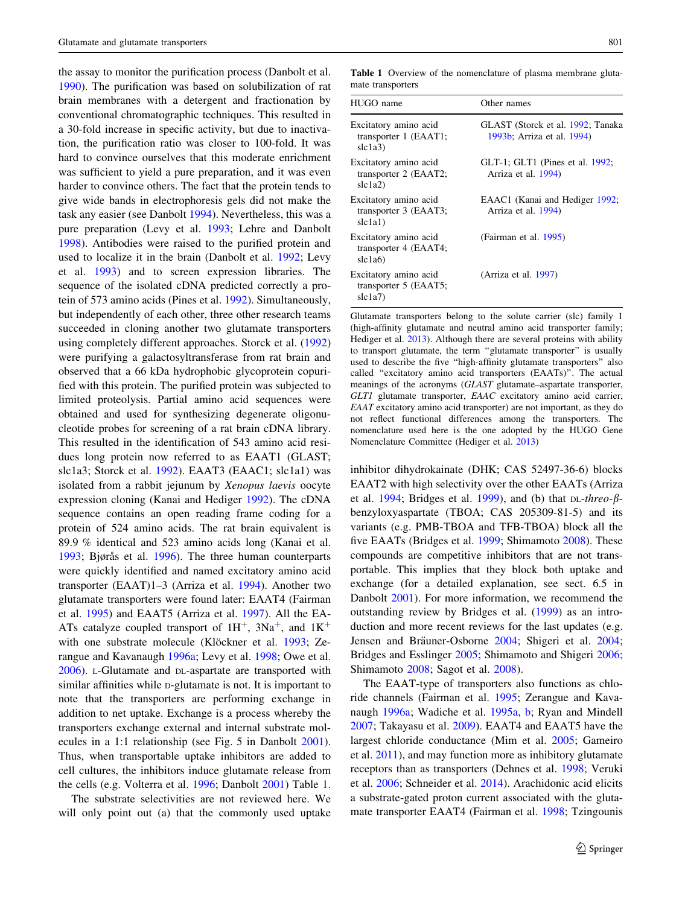the assay to monitor the purification process (Danbolt et al. [1990\)](#page-11-0). The purification was based on solubilization of rat brain membranes with a detergent and fractionation by conventional chromatographic techniques. This resulted in a 30-fold increase in specific activity, but due to inactivation, the purification ratio was closer to 100-fold. It was hard to convince ourselves that this moderate enrichment was sufficient to yield a pure preparation, and it was even harder to convince others. The fact that the protein tends to give wide bands in electrophoresis gels did not make the task any easier (see Danbolt [1994](#page-11-0)). Nevertheless, this was a pure preparation (Levy et al. [1993;](#page-14-0) Lehre and Danbolt [1998\)](#page-14-0). Antibodies were raised to the purified protein and used to localize it in the brain (Danbolt et al. [1992](#page-11-0); Levy et al. [1993](#page-14-0)) and to screen expression libraries. The sequence of the isolated cDNA predicted correctly a protein of 573 amino acids (Pines et al. [1992](#page-15-0)). Simultaneously, but independently of each other, three other research teams succeeded in cloning another two glutamate transporters using completely different approaches. Storck et al. ([1992\)](#page-17-0) were purifying a galactosyltransferase from rat brain and observed that a 66 kDa hydrophobic glycoprotein copurified with this protein. The purified protein was subjected to limited proteolysis. Partial amino acid sequences were obtained and used for synthesizing degenerate oligonucleotide probes for screening of a rat brain cDNA library. This resulted in the identification of 543 amino acid residues long protein now referred to as EAAT1 (GLAST; slc1a3; Storck et al. [1992\)](#page-17-0). EAAT3 (EAAC1; slc1a1) was isolated from a rabbit jejunum by Xenopus laevis oocyte expression cloning (Kanai and Hediger [1992\)](#page-13-0). The cDNA sequence contains an open reading frame coding for a protein of 524 amino acids. The rat brain equivalent is 89.9 % identical and 523 amino acids long (Kanai et al. [1993;](#page-13-0) Bjørås et al. [1996\)](#page-10-0). The three human counterparts were quickly identified and named excitatory amino acid transporter (EAAT)1–3 (Arriza et al. [1994\)](#page-10-0). Another two glutamate transporters were found later: EAAT4 (Fairman et al. [1995](#page-12-0)) and EAAT5 (Arriza et al. [1997](#page-10-0)). All the EA-ATs catalyze coupled transport of  $1H^+$ ,  $3Na^+$ , and  $1K^+$ with one substrate molecule (Klöckner et al. [1993](#page-14-0); Zerangue and Kavanaugh [1996a;](#page-18-0) Levy et al. [1998](#page-14-0); Owe et al. [2006\)](#page-15-0). L-Glutamate and DL-aspartate are transported with similar affinities while D-glutamate is not. It is important to note that the transporters are performing exchange in addition to net uptake. Exchange is a process whereby the transporters exchange external and internal substrate molecules in a 1:1 relationship (see Fig. 5 in Danbolt [2001](#page-11-0)). Thus, when transportable uptake inhibitors are added to cell cultures, the inhibitors induce glutamate release from the cells (e.g. Volterra et al. [1996](#page-17-0); Danbolt [2001](#page-11-0)) Table 1.

The substrate selectivities are not reviewed here. We will only point out (a) that the commonly used uptake

Table 1 Overview of the nomenclature of plasma membrane glutamate transporters

| HUGO name                                                 | Other names                                                     |
|-----------------------------------------------------------|-----------------------------------------------------------------|
| Excitatory amino acid<br>transporter 1 (EAAT1;<br>slc1a3  | GLAST (Storck et al. 1992; Tanaka<br>1993b; Arriza et al. 1994) |
| Excitatory amino acid<br>transporter 2 (EAAT2;<br>slc1a2  | $GLT-1$ ; $GLT1$ (Pines et al. 1992;<br>Arriza et al. 1994)     |
| Excitatory amino acid<br>transporter 3 (EAAT3;<br>slc1a1) | EAAC1 (Kanai and Hediger 1992;<br>Arriza et al. 1994)           |
| Excitatory amino acid<br>transporter 4 (EAAT4;<br>slc1a6  | (Fairman et al. 1995)                                           |
| Excitatory amino acid<br>transporter 5 (EAAT5;<br>slc1a7  | (Arriza et al. 1997)                                            |

Glutamate transporters belong to the solute carrier (slc) family 1 (high-affinity glutamate and neutral amino acid transporter family; Hediger et al. [2013\)](#page-13-0). Although there are several proteins with ability to transport glutamate, the term ''glutamate transporter'' is usually used to describe the five ''high-affinity glutamate transporters'' also called ''excitatory amino acid transporters (EAATs)''. The actual meanings of the acronyms (GLAST glutamate–aspartate transporter, GLT1 glutamate transporter, EAAC excitatory amino acid carrier, EAAT excitatory amino acid transporter) are not important, as they do not reflect functional differences among the transporters. The nomenclature used here is the one adopted by the HUGO Gene Nomenclature Committee (Hediger et al. [2013\)](#page-13-0)

inhibitor dihydrokainate (DHK; CAS 52497-36-6) blocks EAAT2 with high selectivity over the other EAATs (Arriza et al. [1994;](#page-10-0) Bridges et al. [1999](#page-11-0)), and (b) that  $DL$ -threo- $\beta$ benzyloxyaspartate (TBOA; CAS 205309-81-5) and its variants (e.g. PMB-TBOA and TFB-TBOA) block all the five EAATs (Bridges et al. [1999](#page-11-0); Shimamoto [2008\)](#page-16-0). These compounds are competitive inhibitors that are not transportable. This implies that they block both uptake and exchange (for a detailed explanation, see sect. 6.5 in Danbolt [2001\)](#page-11-0). For more information, we recommend the outstanding review by Bridges et al. ([1999\)](#page-11-0) as an introduction and more recent reviews for the last updates (e.g. Jensen and Bräuner-Osborne [2004](#page-16-0); Shigeri et al. 2004; Bridges and Esslinger [2005;](#page-10-0) Shimamoto and Shigeri [2006](#page-16-0); Shimamoto [2008;](#page-16-0) Sagot et al. [2008](#page-16-0)).

The EAAT-type of transporters also functions as chloride channels (Fairman et al. [1995;](#page-12-0) Zerangue and Kavanaugh [1996a;](#page-18-0) Wadiche et al. [1995a,](#page-18-0) [b;](#page-18-0) Ryan and Mindell [2007](#page-16-0); Takayasu et al. [2009\)](#page-17-0). EAAT4 and EAAT5 have the largest chloride conductance (Mim et al. [2005](#page-15-0); Gameiro et al. [2011](#page-12-0)), and may function more as inhibitory glutamate receptors than as transporters (Dehnes et al. [1998](#page-11-0); Veruki et al. [2006;](#page-17-0) Schneider et al. [2014\)](#page-16-0). Arachidonic acid elicits a substrate-gated proton current associated with the glutamate transporter EAAT4 (Fairman et al. [1998](#page-12-0); Tzingounis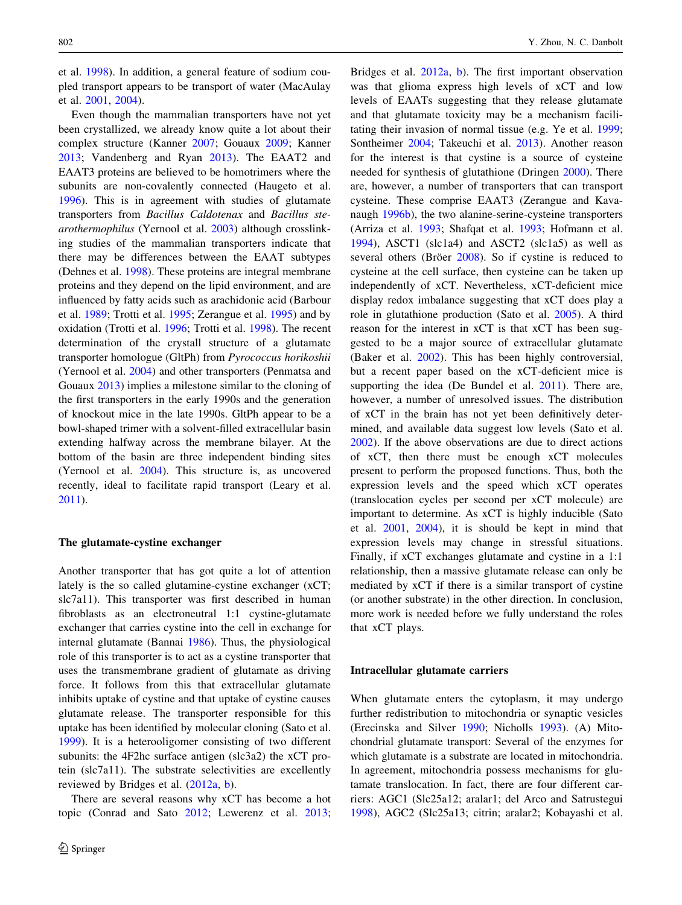et al. [1998\)](#page-17-0). In addition, a general feature of sodium coupled transport appears to be transport of water (MacAulay et al. [2001,](#page-14-0) [2004](#page-14-0)).

Even though the mammalian transporters have not yet been crystallized, we already know quite a lot about their complex structure (Kanner [2007;](#page-13-0) Gouaux [2009](#page-12-0); Kanner [2013;](#page-13-0) Vandenberg and Ryan [2013](#page-17-0)). The EAAT2 and EAAT3 proteins are believed to be homotrimers where the subunits are non-covalently connected (Haugeto et al. [1996\)](#page-13-0). This is in agreement with studies of glutamate transporters from Bacillus Caldotenax and Bacillus stearothermophilus (Yernool et al. [2003](#page-18-0)) although crosslinking studies of the mammalian transporters indicate that there may be differences between the EAAT subtypes (Dehnes et al. [1998](#page-11-0)). These proteins are integral membrane proteins and they depend on the lipid environment, and are influenced by fatty acids such as arachidonic acid (Barbour et al. [1989;](#page-10-0) Trotti et al. [1995](#page-17-0); Zerangue et al. [1995\)](#page-18-0) and by oxidation (Trotti et al. [1996](#page-17-0); Trotti et al. [1998](#page-17-0)). The recent determination of the crystall structure of a glutamate transporter homologue (GltPh) from Pyrococcus horikoshii (Yernool et al. [2004\)](#page-18-0) and other transporters (Penmatsa and Gouaux [2013](#page-15-0)) implies a milestone similar to the cloning of the first transporters in the early 1990s and the generation of knockout mice in the late 1990s. GltPh appear to be a bowl-shaped trimer with a solvent-filled extracellular basin extending halfway across the membrane bilayer. At the bottom of the basin are three independent binding sites (Yernool et al. [2004\)](#page-18-0). This structure is, as uncovered recently, ideal to facilitate rapid transport (Leary et al. [2011\)](#page-14-0).

#### The glutamate-cystine exchanger

Another transporter that has got quite a lot of attention lately is the so called glutamine-cystine exchanger (xCT; slc7a11). This transporter was first described in human fibroblasts as an electroneutral 1:1 cystine-glutamate exchanger that carries cystine into the cell in exchange for internal glutamate (Bannai [1986\)](#page-10-0). Thus, the physiological role of this transporter is to act as a cystine transporter that uses the transmembrane gradient of glutamate as driving force. It follows from this that extracellular glutamate inhibits uptake of cystine and that uptake of cystine causes glutamate release. The transporter responsible for this uptake has been identified by molecular cloning (Sato et al. [1999\)](#page-16-0). It is a heterooligomer consisting of two different subunits: the 4F2hc surface antigen (slc3a2) the xCT protein (slc7a11). The substrate selectivities are excellently reviewed by Bridges et al. ([2012a](#page-11-0), [b](#page-11-0)).

There are several reasons why xCT has become a hot topic (Conrad and Sato [2012;](#page-11-0) Lewerenz et al. [2013](#page-14-0);

Bridges et al. [2012a](#page-11-0), [b\)](#page-11-0). The first important observation was that glioma express high levels of xCT and low levels of EAATs suggesting that they release glutamate and that glutamate toxicity may be a mechanism facilitating their invasion of normal tissue (e.g. Ye et al. [1999](#page-18-0); Sontheimer [2004;](#page-16-0) Takeuchi et al. [2013\)](#page-17-0). Another reason for the interest is that cystine is a source of cysteine needed for synthesis of glutathione (Dringen [2000\)](#page-12-0). There are, however, a number of transporters that can transport cysteine. These comprise EAAT3 (Zerangue and Kavanaugh [1996b\)](#page-18-0), the two alanine-serine-cysteine transporters (Arriza et al. [1993](#page-10-0); Shafqat et al. [1993](#page-16-0); Hofmann et al. [1994](#page-13-0)), ASCT1 (slc1a4) and ASCT2 (slc1a5) as well as several others (Bröer [2008](#page-11-0)). So if cystine is reduced to cysteine at the cell surface, then cysteine can be taken up independently of xCT. Nevertheless, xCT-deficient mice display redox imbalance suggesting that xCT does play a role in glutathione production (Sato et al. [2005](#page-16-0)). A third reason for the interest in xCT is that xCT has been suggested to be a major source of extracellular glutamate (Baker et al. [2002](#page-10-0)). This has been highly controversial, but a recent paper based on the xCT-deficient mice is supporting the idea (De Bundel et al. [2011](#page-11-0)). There are, however, a number of unresolved issues. The distribution of xCT in the brain has not yet been definitively determined, and available data suggest low levels (Sato et al. [2002](#page-16-0)). If the above observations are due to direct actions of xCT, then there must be enough xCT molecules present to perform the proposed functions. Thus, both the expression levels and the speed which xCT operates (translocation cycles per second per xCT molecule) are important to determine. As xCT is highly inducible (Sato et al. [2001,](#page-16-0) [2004](#page-16-0)), it is should be kept in mind that expression levels may change in stressful situations. Finally, if xCT exchanges glutamate and cystine in a 1:1 relationship, then a massive glutamate release can only be mediated by xCT if there is a similar transport of cystine (or another substrate) in the other direction. In conclusion, more work is needed before we fully understand the roles that xCT plays.

### Intracellular glutamate carriers

When glutamate enters the cytoplasm, it may undergo further redistribution to mitochondria or synaptic vesicles (Erecinska and Silver [1990;](#page-12-0) Nicholls [1993](#page-15-0)). (A) Mitochondrial glutamate transport: Several of the enzymes for which glutamate is a substrate are located in mitochondria. In agreement, mitochondria possess mechanisms for glutamate translocation. In fact, there are four different carriers: AGC1 (Slc25a12; aralar1; del Arco and Satrustegui [1998](#page-11-0)), AGC2 (Slc25a13; citrin; aralar2; Kobayashi et al.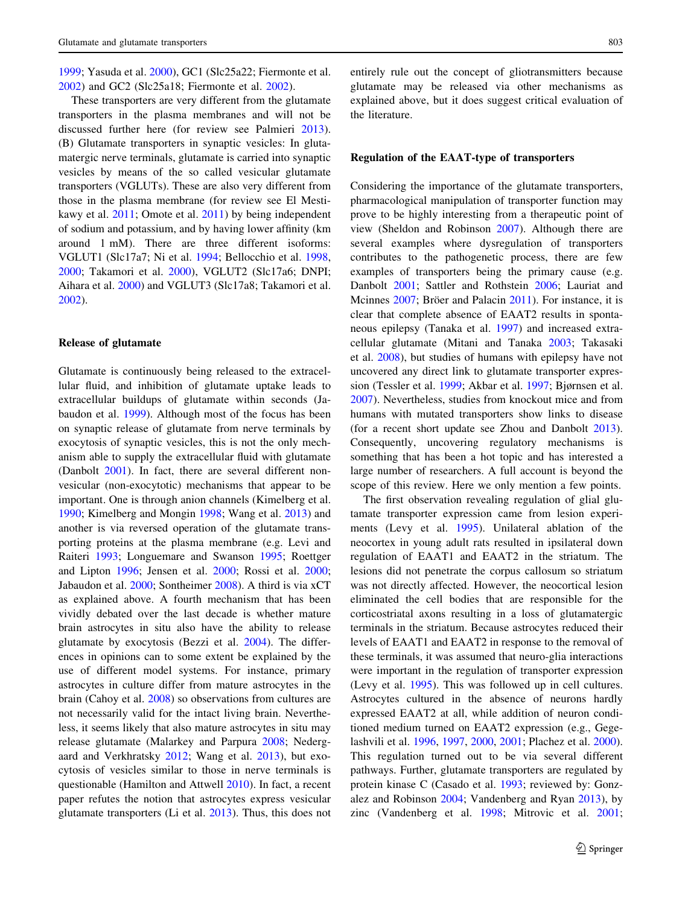[1999;](#page-14-0) Yasuda et al. [2000\)](#page-18-0), GC1 (Slc25a22; Fiermonte et al. [2002\)](#page-12-0) and GC2 (Slc25a18; Fiermonte et al. [2002](#page-12-0)).

These transporters are very different from the glutamate transporters in the plasma membranes and will not be discussed further here (for review see Palmieri [2013](#page-15-0)). (B) Glutamate transporters in synaptic vesicles: In glutamatergic nerve terminals, glutamate is carried into synaptic vesicles by means of the so called vesicular glutamate transporters (VGLUTs). These are also very different from those in the plasma membrane (for review see El Mestikawy et al. [2011](#page-12-0); Omote et al. [2011](#page-15-0)) by being independent of sodium and potassium, and by having lower affinity (km around 1 mM). There are three different isoforms: VGLUT1 (Slc17a7; Ni et al. [1994;](#page-15-0) Bellocchio et al. [1998,](#page-10-0) [2000;](#page-10-0) Takamori et al. [2000](#page-17-0)), VGLUT2 (Slc17a6; DNPI; Aihara et al. [2000\)](#page-9-0) and VGLUT3 (Slc17a8; Takamori et al. [2002\)](#page-17-0).

#### Release of glutamate

Glutamate is continuously being released to the extracellular fluid, and inhibition of glutamate uptake leads to extracellular buildups of glutamate within seconds (Jabaudon et al. [1999\)](#page-13-0). Although most of the focus has been on synaptic release of glutamate from nerve terminals by exocytosis of synaptic vesicles, this is not the only mechanism able to supply the extracellular fluid with glutamate (Danbolt [2001](#page-11-0)). In fact, there are several different nonvesicular (non-exocytotic) mechanisms that appear to be important. One is through anion channels (Kimelberg et al. [1990;](#page-14-0) Kimelberg and Mongin [1998;](#page-14-0) Wang et al. [2013\)](#page-18-0) and another is via reversed operation of the glutamate transporting proteins at the plasma membrane (e.g. Levi and Raiteri [1993](#page-14-0); Longuemare and Swanson [1995;](#page-14-0) Roettger and Lipton [1996](#page-16-0); Jensen et al. [2000](#page-13-0); Rossi et al. [2000](#page-16-0); Jabaudon et al. [2000;](#page-13-0) Sontheimer [2008\)](#page-16-0). A third is via xCT as explained above. A fourth mechanism that has been vividly debated over the last decade is whether mature brain astrocytes in situ also have the ability to release glutamate by exocytosis (Bezzi et al. [2004](#page-10-0)). The differences in opinions can to some extent be explained by the use of different model systems. For instance, primary astrocytes in culture differ from mature astrocytes in the brain (Cahoy et al. [2008](#page-11-0)) so observations from cultures are not necessarily valid for the intact living brain. Nevertheless, it seems likely that also mature astrocytes in situ may release glutamate (Malarkey and Parpura [2008;](#page-14-0) Nedergaard and Verkhratsky [2012](#page-15-0); Wang et al. [2013\)](#page-18-0), but exocytosis of vesicles similar to those in nerve terminals is questionable (Hamilton and Attwell [2010\)](#page-12-0). In fact, a recent paper refutes the notion that astrocytes express vesicular glutamate transporters (Li et al. [2013\)](#page-14-0). Thus, this does not entirely rule out the concept of gliotransmitters because glutamate may be released via other mechanisms as explained above, but it does suggest critical evaluation of the literature.

## Regulation of the EAAT-type of transporters

Considering the importance of the glutamate transporters, pharmacological manipulation of transporter function may prove to be highly interesting from a therapeutic point of view (Sheldon and Robinson [2007\)](#page-16-0). Although there are several examples where dysregulation of transporters contributes to the pathogenetic process, there are few examples of transporters being the primary cause (e.g. Danbolt [2001;](#page-11-0) Sattler and Rothstein [2006](#page-16-0); Lauriat and Mcinnes [2007;](#page-14-0) Bröer and Palacin [2011\)](#page-11-0). For instance, it is clear that complete absence of EAAT2 results in spontaneous epilepsy (Tanaka et al. [1997](#page-17-0)) and increased extracellular glutamate (Mitani and Tanaka [2003](#page-15-0); Takasaki et al. [2008\)](#page-17-0), but studies of humans with epilepsy have not uncovered any direct link to glutamate transporter expression (Tessler et al. [1999](#page-17-0); Akbar et al. [1997;](#page-10-0) Bjørnsen et al. [2007](#page-10-0)). Nevertheless, studies from knockout mice and from humans with mutated transporters show links to disease (for a recent short update see Zhou and Danbolt [2013](#page-18-0)). Consequently, uncovering regulatory mechanisms is something that has been a hot topic and has interested a large number of researchers. A full account is beyond the scope of this review. Here we only mention a few points.

The first observation revealing regulation of glial glutamate transporter expression came from lesion experiments (Levy et al. [1995](#page-14-0)). Unilateral ablation of the neocortex in young adult rats resulted in ipsilateral down regulation of EAAT1 and EAAT2 in the striatum. The lesions did not penetrate the corpus callosum so striatum was not directly affected. However, the neocortical lesion eliminated the cell bodies that are responsible for the corticostriatal axons resulting in a loss of glutamatergic terminals in the striatum. Because astrocytes reduced their levels of EAAT1 and EAAT2 in response to the removal of these terminals, it was assumed that neuro-glia interactions were important in the regulation of transporter expression (Levy et al. [1995\)](#page-14-0). This was followed up in cell cultures. Astrocytes cultured in the absence of neurons hardly expressed EAAT2 at all, while addition of neuron conditioned medium turned on EAAT2 expression (e.g., Gegelashvili et al. [1996,](#page-12-0) [1997](#page-12-0), [2000](#page-12-0), [2001](#page-12-0); Plachez et al. [2000](#page-15-0)). This regulation turned out to be via several different pathways. Further, glutamate transporters are regulated by protein kinase C (Casado et al. [1993;](#page-11-0) reviewed by: Gonzalez and Robinson [2004;](#page-12-0) Vandenberg and Ryan [2013](#page-17-0)), by zinc (Vandenberg et al. [1998](#page-17-0); Mitrovic et al. [2001](#page-15-0);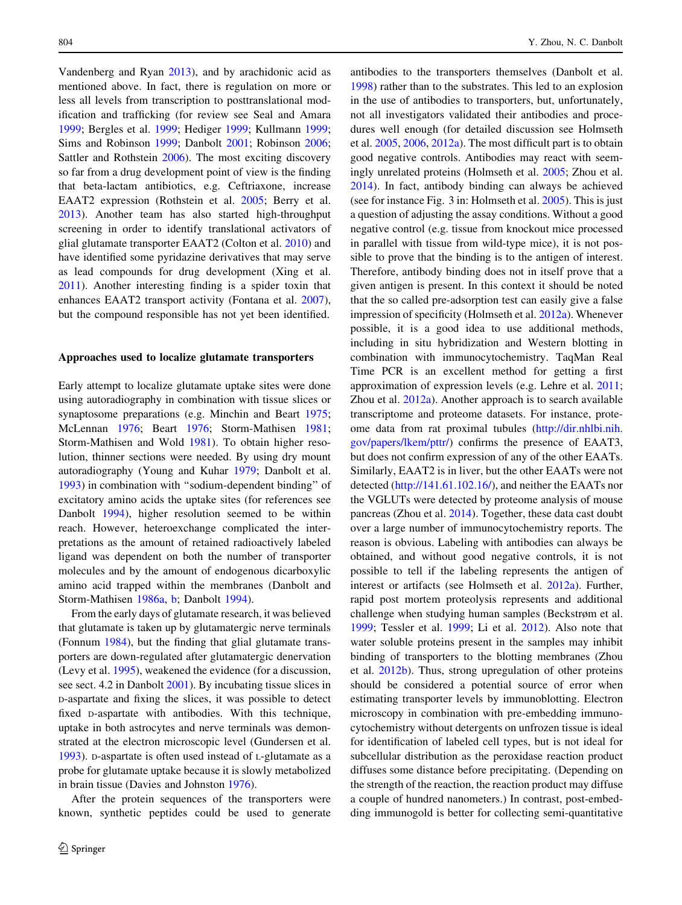Vandenberg and Ryan [2013](#page-17-0)), and by arachidonic acid as mentioned above. In fact, there is regulation on more or less all levels from transcription to posttranslational modification and trafficking (for review see Seal and Amara [1999;](#page-16-0) Bergles et al. [1999;](#page-10-0) Hediger [1999;](#page-13-0) Kullmann [1999](#page-14-0); Sims and Robinson [1999](#page-16-0); Danbolt [2001;](#page-11-0) Robinson [2006](#page-16-0); Sattler and Rothstein [2006\)](#page-16-0). The most exciting discovery so far from a drug development point of view is the finding that beta-lactam antibiotics, e.g. Ceftriaxone, increase EAAT2 expression (Rothstein et al. [2005;](#page-16-0) Berry et al. [2013\)](#page-10-0). Another team has also started high-throughput screening in order to identify translational activators of glial glutamate transporter EAAT2 (Colton et al. [2010\)](#page-11-0) and have identified some pyridazine derivatives that may serve as lead compounds for drug development (Xing et al. [2011\)](#page-18-0). Another interesting finding is a spider toxin that enhances EAAT2 transport activity (Fontana et al. [2007](#page-12-0)), but the compound responsible has not yet been identified.

#### Approaches used to localize glutamate transporters

Early attempt to localize glutamate uptake sites were done using autoradiography in combination with tissue slices or synaptosome preparations (e.g. Minchin and Beart [1975](#page-15-0); McLennan [1976](#page-15-0); Beart [1976;](#page-10-0) Storm-Mathisen [1981](#page-17-0); Storm-Mathisen and Wold [1981](#page-17-0)). To obtain higher resolution, thinner sections were needed. By using dry mount autoradiography (Young and Kuhar [1979;](#page-18-0) Danbolt et al. [1993\)](#page-11-0) in combination with ''sodium-dependent binding'' of excitatory amino acids the uptake sites (for references see Danbolt [1994](#page-11-0)), higher resolution seemed to be within reach. However, heteroexchange complicated the interpretations as the amount of retained radioactively labeled ligand was dependent on both the number of transporter molecules and by the amount of endogenous dicarboxylic amino acid trapped within the membranes (Danbolt and Storm-Mathisen [1986a,](#page-11-0) [b;](#page-11-0) Danbolt [1994](#page-11-0)).

From the early days of glutamate research, it was believed that glutamate is taken up by glutamatergic nerve terminals (Fonnum [1984\)](#page-12-0), but the finding that glial glutamate transporters are down-regulated after glutamatergic denervation (Levy et al. [1995\)](#page-14-0), weakened the evidence (for a discussion, see sect. 4.2 in Danbolt [2001](#page-11-0)). By incubating tissue slices in D-aspartate and fixing the slices, it was possible to detect fixed D-aspartate with antibodies. With this technique, uptake in both astrocytes and nerve terminals was demonstrated at the electron microscopic level (Gundersen et al. [1993\)](#page-12-0). D-aspartate is often used instead of L-glutamate as a probe for glutamate uptake because it is slowly metabolized in brain tissue (Davies and Johnston [1976\)](#page-11-0).

After the protein sequences of the transporters were known, synthetic peptides could be used to generate antibodies to the transporters themselves (Danbolt et al. [1998](#page-11-0)) rather than to the substrates. This led to an explosion in the use of antibodies to transporters, but, unfortunately, not all investigators validated their antibodies and procedures well enough (for detailed discussion see Holmseth et al. [2005,](#page-13-0) [2006](#page-13-0), [2012a](#page-13-0)). The most difficult part is to obtain good negative controls. Antibodies may react with seemingly unrelated proteins (Holmseth et al. [2005](#page-13-0); Zhou et al. [2014](#page-18-0)). In fact, antibody binding can always be achieved (see for instance Fig. 3 in: Holmseth et al. [2005\)](#page-13-0). This is just a question of adjusting the assay conditions. Without a good negative control (e.g. tissue from knockout mice processed in parallel with tissue from wild-type mice), it is not possible to prove that the binding is to the antigen of interest. Therefore, antibody binding does not in itself prove that a given antigen is present. In this context it should be noted that the so called pre-adsorption test can easily give a false impression of specificity (Holmseth et al. [2012a](#page-13-0)). Whenever possible, it is a good idea to use additional methods, including in situ hybridization and Western blotting in combination with immunocytochemistry. TaqMan Real Time PCR is an excellent method for getting a first approximation of expression levels (e.g. Lehre et al. [2011](#page-14-0); Zhou et al. [2012a\)](#page-18-0). Another approach is to search available transcriptome and proteome datasets. For instance, proteome data from rat proximal tubules [\(http://dir.nhlbi.nih.](http://dir.nhlbi.nih.gov/papers/lkem/pttr/) [gov/papers/lkem/pttr/](http://dir.nhlbi.nih.gov/papers/lkem/pttr/)) confirms the presence of EAAT3, but does not confirm expression of any of the other EAATs. Similarly, EAAT2 is in liver, but the other EAATs were not detected [\(http://141.61.102.16/](http://141.61.102.16/)), and neither the EAATs nor the VGLUTs were detected by proteome analysis of mouse pancreas (Zhou et al. [2014](#page-18-0)). Together, these data cast doubt over a large number of immunocytochemistry reports. The reason is obvious. Labeling with antibodies can always be obtained, and without good negative controls, it is not possible to tell if the labeling represents the antigen of interest or artifacts (see Holmseth et al. [2012a](#page-13-0)). Further, rapid post mortem proteolysis represents and additional challenge when studying human samples (Beckstrøm et al. [1999](#page-10-0); Tessler et al. [1999;](#page-17-0) Li et al. [2012](#page-14-0)). Also note that water soluble proteins present in the samples may inhibit binding of transporters to the blotting membranes (Zhou et al. [2012b\)](#page-18-0). Thus, strong upregulation of other proteins should be considered a potential source of error when estimating transporter levels by immunoblotting. Electron microscopy in combination with pre-embedding immunocytochemistry without detergents on unfrozen tissue is ideal for identification of labeled cell types, but is not ideal for subcellular distribution as the peroxidase reaction product diffuses some distance before precipitating. (Depending on the strength of the reaction, the reaction product may diffuse a couple of hundred nanometers.) In contrast, post-embedding immunogold is better for collecting semi-quantitative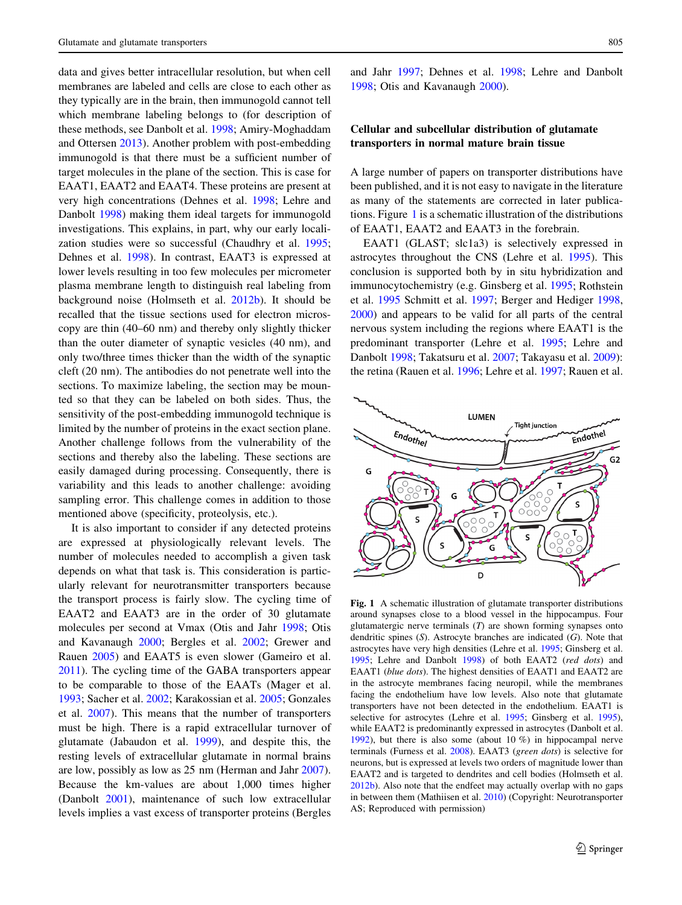<span id="page-6-0"></span>data and gives better intracellular resolution, but when cell membranes are labeled and cells are close to each other as they typically are in the brain, then immunogold cannot tell which membrane labeling belongs to (for description of these methods, see Danbolt et al. [1998](#page-11-0); Amiry-Moghaddam and Ottersen [2013\)](#page-10-0). Another problem with post-embedding immunogold is that there must be a sufficient number of target molecules in the plane of the section. This is case for EAAT1, EAAT2 and EAAT4. These proteins are present at very high concentrations (Dehnes et al. [1998](#page-11-0); Lehre and Danbolt [1998\)](#page-14-0) making them ideal targets for immunogold investigations. This explains, in part, why our early localization studies were so successful (Chaudhry et al. [1995](#page-11-0); Dehnes et al. [1998\)](#page-11-0). In contrast, EAAT3 is expressed at lower levels resulting in too few molecules per micrometer plasma membrane length to distinguish real labeling from background noise (Holmseth et al. [2012b](#page-13-0)). It should be recalled that the tissue sections used for electron microscopy are thin (40–60 nm) and thereby only slightly thicker than the outer diameter of synaptic vesicles (40 nm), and only two/three times thicker than the width of the synaptic cleft (20 nm). The antibodies do not penetrate well into the sections. To maximize labeling, the section may be mounted so that they can be labeled on both sides. Thus, the sensitivity of the post-embedding immunogold technique is limited by the number of proteins in the exact section plane. Another challenge follows from the vulnerability of the sections and thereby also the labeling. These sections are easily damaged during processing. Consequently, there is variability and this leads to another challenge: avoiding sampling error. This challenge comes in addition to those mentioned above (specificity, proteolysis, etc.).

It is also important to consider if any detected proteins are expressed at physiologically relevant levels. The number of molecules needed to accomplish a given task depends on what that task is. This consideration is particularly relevant for neurotransmitter transporters because the transport process is fairly slow. The cycling time of EAAT2 and EAAT3 are in the order of 30 glutamate molecules per second at Vmax (Otis and Jahr [1998;](#page-15-0) Otis and Kavanaugh [2000](#page-15-0); Bergles et al. [2002;](#page-10-0) Grewer and Rauen [2005\)](#page-12-0) and EAAT5 is even slower (Gameiro et al. [2011\)](#page-12-0). The cycling time of the GABA transporters appear to be comparable to those of the EAATs (Mager et al. [1993;](#page-14-0) Sacher et al. [2002;](#page-16-0) Karakossian et al. [2005;](#page-13-0) Gonzales et al. [2007\)](#page-12-0). This means that the number of transporters must be high. There is a rapid extracellular turnover of glutamate (Jabaudon et al. [1999\)](#page-13-0), and despite this, the resting levels of extracellular glutamate in normal brains are low, possibly as low as 25 nm (Herman and Jahr [2007](#page-13-0)). Because the km-values are about 1,000 times higher (Danbolt [2001](#page-11-0)), maintenance of such low extracellular levels implies a vast excess of transporter proteins (Bergles and Jahr [1997](#page-10-0); Dehnes et al. [1998;](#page-11-0) Lehre and Danbolt [1998](#page-14-0); Otis and Kavanaugh [2000\)](#page-15-0).

## Cellular and subcellular distribution of glutamate transporters in normal mature brain tissue

A large number of papers on transporter distributions have been published, and it is not easy to navigate in the literature as many of the statements are corrected in later publications. Figure 1 is a schematic illustration of the distributions of EAAT1, EAAT2 and EAAT3 in the forebrain.

EAAT1 (GLAST; slc1a3) is selectively expressed in astrocytes throughout the CNS (Lehre et al. [1995](#page-14-0)). This conclusion is supported both by in situ hybridization and immunocytochemistry (e.g. Ginsberg et al. [1995](#page-12-0); Rothstein et al. [1995](#page-16-0) Schmitt et al. [1997;](#page-16-0) Berger and Hediger [1998,](#page-10-0) [2000](#page-10-0)) and appears to be valid for all parts of the central nervous system including the regions where EAAT1 is the predominant transporter (Lehre et al. [1995](#page-14-0); Lehre and Danbolt [1998;](#page-14-0) Takatsuru et al. [2007](#page-17-0); Takayasu et al. [2009](#page-17-0)): the retina (Rauen et al. [1996](#page-15-0); Lehre et al. [1997;](#page-14-0) Rauen et al.



Fig. 1 A schematic illustration of glutamate transporter distributions around synapses close to a blood vessel in the hippocampus. Four glutamatergic nerve terminals  $(T)$  are shown forming synapses onto dendritic spines  $(S)$ . Astrocyte branches are indicated  $(G)$ . Note that astrocytes have very high densities (Lehre et al. [1995](#page-14-0); Ginsberg et al. [1995](#page-12-0); Lehre and Danbolt [1998\)](#page-14-0) of both EAAT2 (red dots) and EAAT1 (blue dots). The highest densities of EAAT1 and EAAT2 are in the astrocyte membranes facing neuropil, while the membranes facing the endothelium have low levels. Also note that glutamate transporters have not been detected in the endothelium. EAAT1 is selective for astrocytes (Lehre et al. [1995](#page-14-0); Ginsberg et al. [1995](#page-12-0)), while EAAT2 is predominantly expressed in astrocytes (Danbolt et al. [1992](#page-11-0)), but there is also some (about 10 %) in hippocampal nerve terminals (Furness et al. [2008](#page-12-0)). EAAT3 (green dots) is selective for neurons, but is expressed at levels two orders of magnitude lower than EAAT2 and is targeted to dendrites and cell bodies (Holmseth et al. [2012b](#page-13-0)). Also note that the endfeet may actually overlap with no gaps in between them (Mathiisen et al. [2010](#page-14-0)) (Copyright: Neurotransporter AS; Reproduced with permission)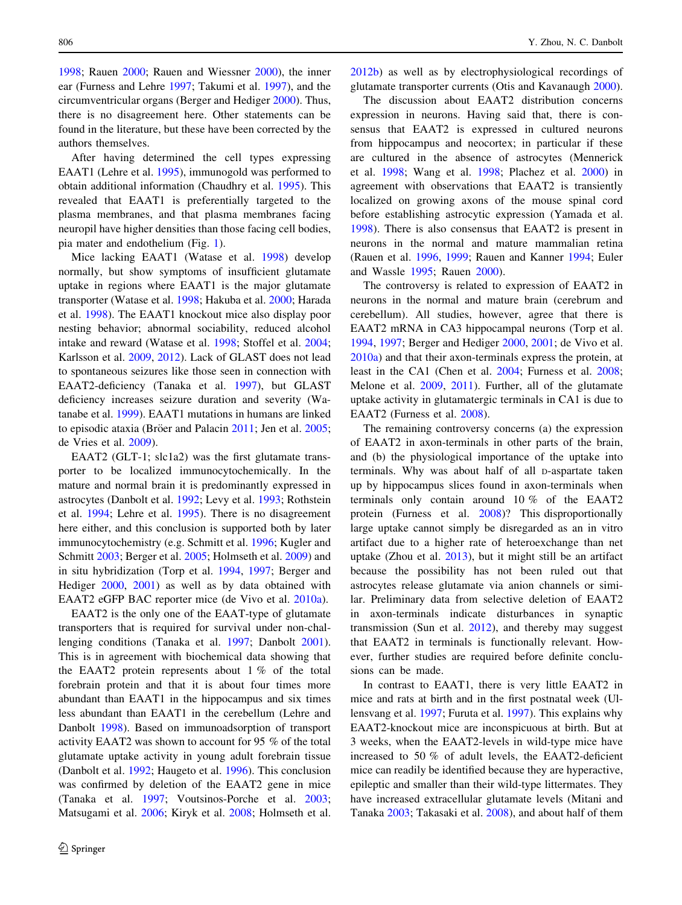[1998;](#page-15-0) Rauen [2000](#page-15-0); Rauen and Wiessner [2000\)](#page-15-0), the inner ear (Furness and Lehre [1997](#page-12-0); Takumi et al. [1997\)](#page-17-0), and the circumventricular organs (Berger and Hediger [2000](#page-10-0)). Thus, there is no disagreement here. Other statements can be found in the literature, but these have been corrected by the authors themselves.

After having determined the cell types expressing EAAT1 (Lehre et al. [1995\)](#page-14-0), immunogold was performed to obtain additional information (Chaudhry et al. [1995](#page-11-0)). This revealed that EAAT1 is preferentially targeted to the plasma membranes, and that plasma membranes facing neuropil have higher densities than those facing cell bodies, pia mater and endothelium (Fig. [1](#page-6-0)).

Mice lacking EAAT1 (Watase et al. [1998](#page-18-0)) develop normally, but show symptoms of insufficient glutamate uptake in regions where EAAT1 is the major glutamate transporter (Watase et al. [1998](#page-18-0); Hakuba et al. [2000;](#page-12-0) Harada et al. [1998](#page-13-0)). The EAAT1 knockout mice also display poor nesting behavior; abnormal sociability, reduced alcohol intake and reward (Watase et al. [1998;](#page-18-0) Stoffel et al. [2004](#page-17-0); Karlsson et al. [2009](#page-13-0), [2012\)](#page-13-0). Lack of GLAST does not lead to spontaneous seizures like those seen in connection with EAAT2-deficiency (Tanaka et al. [1997\)](#page-17-0), but GLAST deficiency increases seizure duration and severity (Watanabe et al. [1999](#page-18-0)). EAAT1 mutations in humans are linked to episodic ataxia (Bröer and Palacin  $2011$ ; Jen et al.  $2005$ ; de Vries et al. [2009](#page-11-0)).

EAAT2 (GLT-1; slc1a2) was the first glutamate transporter to be localized immunocytochemically. In the mature and normal brain it is predominantly expressed in astrocytes (Danbolt et al. [1992](#page-11-0); Levy et al. [1993](#page-14-0); Rothstein et al. [1994;](#page-16-0) Lehre et al. [1995](#page-14-0)). There is no disagreement here either, and this conclusion is supported both by later immunocytochemistry (e.g. Schmitt et al. [1996](#page-16-0); Kugler and Schmitt [2003;](#page-14-0) Berger et al. [2005;](#page-10-0) Holmseth et al. [2009](#page-13-0)) and in situ hybridization (Torp et al. [1994](#page-17-0), [1997;](#page-17-0) Berger and Hediger [2000](#page-10-0), [2001](#page-10-0)) as well as by data obtained with EAAT2 eGFP BAC reporter mice (de Vivo et al. [2010a](#page-11-0)).

EAAT2 is the only one of the EAAT-type of glutamate transporters that is required for survival under non-challenging conditions (Tanaka et al. [1997](#page-17-0); Danbolt [2001](#page-11-0)). This is in agreement with biochemical data showing that the EAAT2 protein represents about 1 % of the total forebrain protein and that it is about four times more abundant than EAAT1 in the hippocampus and six times less abundant than EAAT1 in the cerebellum (Lehre and Danbolt [1998\)](#page-14-0). Based on immunoadsorption of transport activity EAAT2 was shown to account for 95 % of the total glutamate uptake activity in young adult forebrain tissue (Danbolt et al. [1992;](#page-11-0) Haugeto et al. [1996\)](#page-13-0). This conclusion was confirmed by deletion of the EAAT2 gene in mice (Tanaka et al. [1997](#page-17-0); Voutsinos-Porche et al. [2003](#page-17-0); Matsugami et al. [2006](#page-15-0); Kiryk et al. [2008](#page-14-0); Holmseth et al.

[2012b](#page-13-0)) as well as by electrophysiological recordings of glutamate transporter currents (Otis and Kavanaugh [2000](#page-15-0)).

The discussion about EAAT2 distribution concerns expression in neurons. Having said that, there is consensus that EAAT2 is expressed in cultured neurons from hippocampus and neocortex; in particular if these are cultured in the absence of astrocytes (Mennerick et al. [1998](#page-15-0); Wang et al. [1998;](#page-18-0) Plachez et al. [2000](#page-15-0)) in agreement with observations that EAAT2 is transiently localized on growing axons of the mouse spinal cord before establishing astrocytic expression (Yamada et al. [1998](#page-18-0)). There is also consensus that EAAT2 is present in neurons in the normal and mature mammalian retina (Rauen et al. [1996](#page-15-0), [1999](#page-15-0); Rauen and Kanner [1994](#page-15-0); Euler and Wassle [1995](#page-12-0); Rauen [2000\)](#page-15-0).

The controversy is related to expression of EAAT2 in neurons in the normal and mature brain (cerebrum and cerebellum). All studies, however, agree that there is EAAT2 mRNA in CA3 hippocampal neurons (Torp et al. [1994](#page-17-0), [1997](#page-17-0); Berger and Hediger [2000,](#page-10-0) [2001](#page-10-0); de Vivo et al. [2010a\)](#page-11-0) and that their axon-terminals express the protein, at least in the CA1 (Chen et al. [2004](#page-11-0); Furness et al. [2008](#page-12-0); Melone et al. [2009](#page-15-0), [2011\)](#page-15-0). Further, all of the glutamate uptake activity in glutamatergic terminals in CA1 is due to EAAT2 (Furness et al. [2008](#page-12-0)).

The remaining controversy concerns (a) the expression of EAAT2 in axon-terminals in other parts of the brain, and (b) the physiological importance of the uptake into terminals. Why was about half of all D-aspartate taken up by hippocampus slices found in axon-terminals when terminals only contain around 10 % of the EAAT2 protein (Furness et al. [2008](#page-12-0))? This disproportionally large uptake cannot simply be disregarded as an in vitro artifact due to a higher rate of heteroexchange than net uptake (Zhou et al. [2013\)](#page-18-0), but it might still be an artifact because the possibility has not been ruled out that astrocytes release glutamate via anion channels or similar. Preliminary data from selective deletion of EAAT2 in axon-terminals indicate disturbances in synaptic transmission (Sun et al. [2012\)](#page-17-0), and thereby may suggest that EAAT2 in terminals is functionally relevant. However, further studies are required before definite conclusions can be made.

In contrast to EAAT1, there is very little EAAT2 in mice and rats at birth and in the first postnatal week (Ullensvang et al. [1997](#page-17-0); Furuta et al. [1997\)](#page-12-0). This explains why EAAT2-knockout mice are inconspicuous at birth. But at 3 weeks, when the EAAT2-levels in wild-type mice have increased to 50 % of adult levels, the EAAT2-deficient mice can readily be identified because they are hyperactive, epileptic and smaller than their wild-type littermates. They have increased extracellular glutamate levels (Mitani and Tanaka [2003](#page-15-0); Takasaki et al. [2008\)](#page-17-0), and about half of them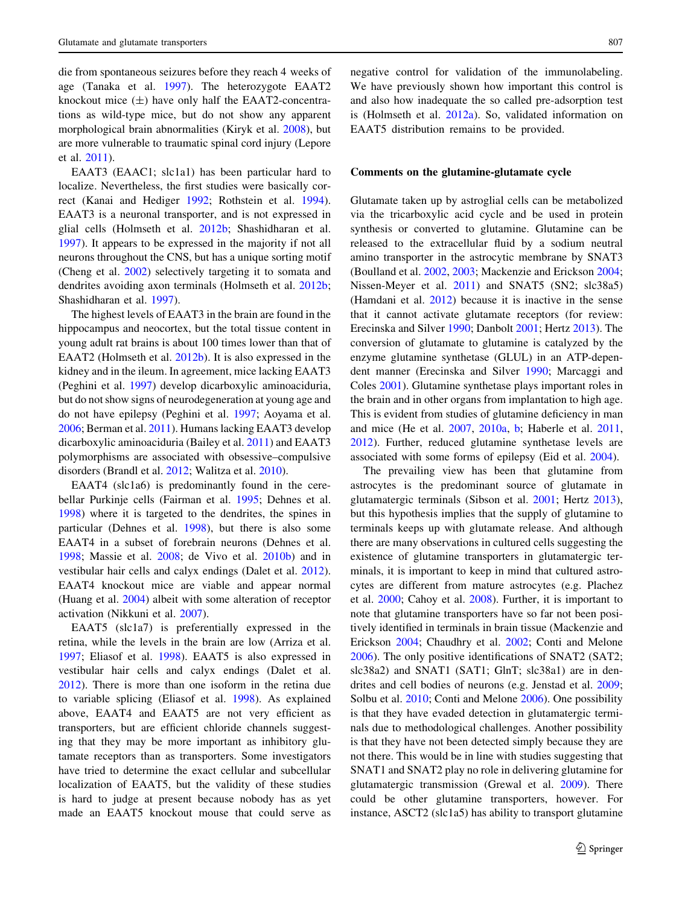die from spontaneous seizures before they reach 4 weeks of age (Tanaka et al. [1997](#page-17-0)). The heterozygote EAAT2 knockout mice  $(\pm)$  have only half the EAAT2-concentrations as wild-type mice, but do not show any apparent morphological brain abnormalities (Kiryk et al. [2008](#page-14-0)), but are more vulnerable to traumatic spinal cord injury (Lepore et al. [2011\)](#page-14-0).

EAAT3 (EAAC1; slc1a1) has been particular hard to localize. Nevertheless, the first studies were basically correct (Kanai and Hediger [1992;](#page-13-0) Rothstein et al. [1994](#page-16-0)). EAAT3 is a neuronal transporter, and is not expressed in glial cells (Holmseth et al. [2012b;](#page-13-0) Shashidharan et al. [1997\)](#page-16-0). It appears to be expressed in the majority if not all neurons throughout the CNS, but has a unique sorting motif (Cheng et al. [2002\)](#page-11-0) selectively targeting it to somata and dendrites avoiding axon terminals (Holmseth et al. [2012b](#page-13-0); Shashidharan et al. [1997\)](#page-16-0).

The highest levels of EAAT3 in the brain are found in the hippocampus and neocortex, but the total tissue content in young adult rat brains is about 100 times lower than that of EAAT2 (Holmseth et al. [2012b](#page-13-0)). It is also expressed in the kidney and in the ileum. In agreement, mice lacking EAAT3 (Peghini et al. [1997](#page-15-0)) develop dicarboxylic aminoaciduria, but do not show signs of neurodegeneration at young age and do not have epilepsy (Peghini et al. [1997;](#page-15-0) Aoyama et al. [2006;](#page-10-0) Berman et al. [2011\)](#page-10-0). Humans lacking EAAT3 develop dicarboxylic aminoaciduria (Bailey et al. [2011\)](#page-10-0) and EAAT3 polymorphisms are associated with obsessive–compulsive disorders (Brandl et al. [2012](#page-10-0); Walitza et al. [2010](#page-18-0)).

EAAT4 (slc1a6) is predominantly found in the cerebellar Purkinje cells (Fairman et al. [1995](#page-12-0); Dehnes et al. [1998\)](#page-11-0) where it is targeted to the dendrites, the spines in particular (Dehnes et al. [1998\)](#page-11-0), but there is also some EAAT4 in a subset of forebrain neurons (Dehnes et al. [1998;](#page-11-0) Massie et al. [2008](#page-14-0); de Vivo et al. [2010b](#page-11-0)) and in vestibular hair cells and calyx endings (Dalet et al. [2012](#page-11-0)). EAAT4 knockout mice are viable and appear normal (Huang et al. [2004](#page-13-0)) albeit with some alteration of receptor activation (Nikkuni et al. [2007\)](#page-15-0).

EAAT5 (slc1a7) is preferentially expressed in the retina, while the levels in the brain are low (Arriza et al. [1997;](#page-10-0) Eliasof et al. [1998](#page-12-0)). EAAT5 is also expressed in vestibular hair cells and calyx endings (Dalet et al. [2012\)](#page-11-0). There is more than one isoform in the retina due to variable splicing (Eliasof et al. [1998\)](#page-12-0). As explained above, EAAT4 and EAAT5 are not very efficient as transporters, but are efficient chloride channels suggesting that they may be more important as inhibitory glutamate receptors than as transporters. Some investigators have tried to determine the exact cellular and subcellular localization of EAAT5, but the validity of these studies is hard to judge at present because nobody has as yet made an EAAT5 knockout mouse that could serve as negative control for validation of the immunolabeling. We have previously shown how important this control is and also how inadequate the so called pre-adsorption test is (Holmseth et al. [2012a\)](#page-13-0). So, validated information on EAAT5 distribution remains to be provided.

#### Comments on the glutamine-glutamate cycle

Glutamate taken up by astroglial cells can be metabolized via the tricarboxylic acid cycle and be used in protein synthesis or converted to glutamine. Glutamine can be released to the extracellular fluid by a sodium neutral amino transporter in the astrocytic membrane by SNAT3 (Boulland et al. [2002](#page-10-0), [2003](#page-10-0); Mackenzie and Erickson [2004](#page-14-0); Nissen-Meyer et al. [2011](#page-15-0)) and SNAT5 (SN2; slc38a5) (Hamdani et al. [2012](#page-12-0)) because it is inactive in the sense that it cannot activate glutamate receptors (for review: Erecinska and Silver [1990](#page-12-0); Danbolt [2001;](#page-11-0) Hertz [2013](#page-13-0)). The conversion of glutamate to glutamine is catalyzed by the enzyme glutamine synthetase (GLUL) in an ATP-dependent manner (Erecinska and Silver [1990;](#page-12-0) Marcaggi and Coles [2001](#page-14-0)). Glutamine synthetase plays important roles in the brain and in other organs from implantation to high age. This is evident from studies of glutamine deficiency in man and mice (He et al. [2007,](#page-13-0) [2010a,](#page-13-0) [b](#page-13-0); Haberle et al. [2011,](#page-12-0) [2012](#page-12-0)). Further, reduced glutamine synthetase levels are associated with some forms of epilepsy (Eid et al. [2004](#page-12-0)).

The prevailing view has been that glutamine from astrocytes is the predominant source of glutamate in glutamatergic terminals (Sibson et al. [2001;](#page-16-0) Hertz [2013](#page-13-0)), but this hypothesis implies that the supply of glutamine to terminals keeps up with glutamate release. And although there are many observations in cultured cells suggesting the existence of glutamine transporters in glutamatergic terminals, it is important to keep in mind that cultured astrocytes are different from mature astrocytes (e.g. Plachez et al. [2000](#page-15-0); Cahoy et al. [2008](#page-11-0)). Further, it is important to note that glutamine transporters have so far not been positively identified in terminals in brain tissue (Mackenzie and Erickson [2004;](#page-14-0) Chaudhry et al. [2002;](#page-11-0) Conti and Melone [2006](#page-11-0)). The only positive identifications of SNAT2 (SAT2; slc38a2) and SNAT1 (SAT1; GlnT; slc38a1) are in dendrites and cell bodies of neurons (e.g. Jenstad et al. [2009](#page-13-0); Solbu et al. [2010](#page-16-0); Conti and Melone [2006\)](#page-11-0). One possibility is that they have evaded detection in glutamatergic terminals due to methodological challenges. Another possibility is that they have not been detected simply because they are not there. This would be in line with studies suggesting that SNAT1 and SNAT2 play no role in delivering glutamine for glutamatergic transmission (Grewal et al. [2009](#page-12-0)). There could be other glutamine transporters, however. For instance, ASCT2 (slc1a5) has ability to transport glutamine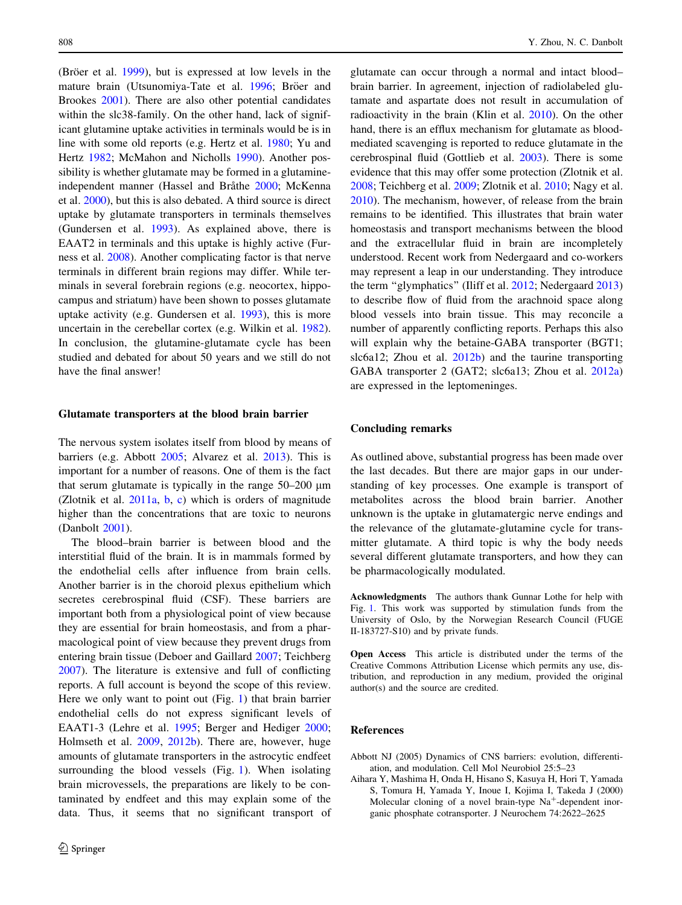<span id="page-9-0"></span>(Bröer et al.  $1999$ ), but is expressed at low levels in the mature brain (Utsunomiya-Tate et al. [1996;](#page-17-0) Bröer and Brookes [2001](#page-11-0)). There are also other potential candidates within the slc38-family. On the other hand, lack of significant glutamine uptake activities in terminals would be is in line with some old reports (e.g. Hertz et al. [1980;](#page-13-0) Yu and Hertz [1982](#page-18-0); McMahon and Nicholls [1990\)](#page-15-0). Another possibility is whether glutamate may be formed in a glutamine-independent manner (Hassel and Bråthe [2000;](#page-13-0) McKenna et al. [2000](#page-15-0)), but this is also debated. A third source is direct uptake by glutamate transporters in terminals themselves (Gundersen et al. [1993\)](#page-12-0). As explained above, there is EAAT2 in terminals and this uptake is highly active (Furness et al. [2008\)](#page-12-0). Another complicating factor is that nerve terminals in different brain regions may differ. While terminals in several forebrain regions (e.g. neocortex, hippocampus and striatum) have been shown to posses glutamate uptake activity (e.g. Gundersen et al. [1993\)](#page-12-0), this is more uncertain in the cerebellar cortex (e.g. Wilkin et al. [1982](#page-18-0)). In conclusion, the glutamine-glutamate cycle has been studied and debated for about 50 years and we still do not have the final answer!

# Glutamate transporters at the blood brain barrier

The nervous system isolates itself from blood by means of barriers (e.g. Abbott 2005; Alvarez et al. [2013\)](#page-10-0). This is important for a number of reasons. One of them is the fact that serum glutamate is typically in the range  $50-200 \mu m$ (Zlotnik et al.  $2011a$ , [b,](#page-18-0) [c](#page-18-0)) which is orders of magnitude higher than the concentrations that are toxic to neurons (Danbolt [2001\)](#page-11-0).

The blood–brain barrier is between blood and the interstitial fluid of the brain. It is in mammals formed by the endothelial cells after influence from brain cells. Another barrier is in the choroid plexus epithelium which secretes cerebrospinal fluid (CSF). These barriers are important both from a physiological point of view because they are essential for brain homeostasis, and from a pharmacological point of view because they prevent drugs from entering brain tissue (Deboer and Gaillard [2007](#page-11-0); Teichberg [2007\)](#page-17-0). The literature is extensive and full of conflicting reports. A full account is beyond the scope of this review. Here we only want to point out (Fig. [1\)](#page-6-0) that brain barrier endothelial cells do not express significant levels of EAAT1-3 (Lehre et al. [1995](#page-14-0); Berger and Hediger [2000](#page-10-0); Holmseth et al. [2009,](#page-13-0) [2012b\)](#page-13-0). There are, however, huge amounts of glutamate transporters in the astrocytic endfeet surrounding the blood vessels (Fig. [1](#page-6-0)). When isolating brain microvessels, the preparations are likely to be contaminated by endfeet and this may explain some of the data. Thus, it seems that no significant transport of

glutamate can occur through a normal and intact blood– brain barrier. In agreement, injection of radiolabeled glutamate and aspartate does not result in accumulation of radioactivity in the brain (Klin et al. [2010](#page-14-0)). On the other hand, there is an efflux mechanism for glutamate as bloodmediated scavenging is reported to reduce glutamate in the cerebrospinal fluid (Gottlieb et al. [2003\)](#page-12-0). There is some evidence that this may offer some protection (Zlotnik et al. [2008](#page-18-0); Teichberg et al. [2009](#page-17-0); Zlotnik et al. [2010](#page-18-0); Nagy et al. [2010](#page-15-0)). The mechanism, however, of release from the brain remains to be identified. This illustrates that brain water homeostasis and transport mechanisms between the blood and the extracellular fluid in brain are incompletely understood. Recent work from Nedergaard and co-workers may represent a leap in our understanding. They introduce the term ''glymphatics'' (Iliff et al. [2012;](#page-13-0) Nedergaard [2013\)](#page-15-0) to describe flow of fluid from the arachnoid space along blood vessels into brain tissue. This may reconcile a number of apparently conflicting reports. Perhaps this also will explain why the betaine-GABA transporter (BGT1; slc6a12; Zhou et al. [2012b](#page-18-0)) and the taurine transporting GABA transporter 2 (GAT2; slc6a13; Zhou et al. [2012a\)](#page-18-0) are expressed in the leptomeninges.

## Concluding remarks

As outlined above, substantial progress has been made over the last decades. But there are major gaps in our understanding of key processes. One example is transport of metabolites across the blood brain barrier. Another unknown is the uptake in glutamatergic nerve endings and the relevance of the glutamate-glutamine cycle for transmitter glutamate. A third topic is why the body needs several different glutamate transporters, and how they can be pharmacologically modulated.

Acknowledgments The authors thank Gunnar Lothe for help with Fig. [1.](#page-6-0) This work was supported by stimulation funds from the University of Oslo, by the Norwegian Research Council (FUGE II-183727-S10) and by private funds.

Open Access This article is distributed under the terms of the Creative Commons Attribution License which permits any use, distribution, and reproduction in any medium, provided the original author(s) and the source are credited.

#### References

Abbott NJ (2005) Dynamics of CNS barriers: evolution, differentiation, and modulation. Cell Mol Neurobiol 25:5–23

Aihara Y, Mashima H, Onda H, Hisano S, Kasuya H, Hori T, Yamada S, Tomura H, Yamada Y, Inoue I, Kojima I, Takeda J (2000) Molecular cloning of a novel brain-type  $Na<sup>+</sup>$ -dependent inorganic phosphate cotransporter. J Neurochem 74:2622–2625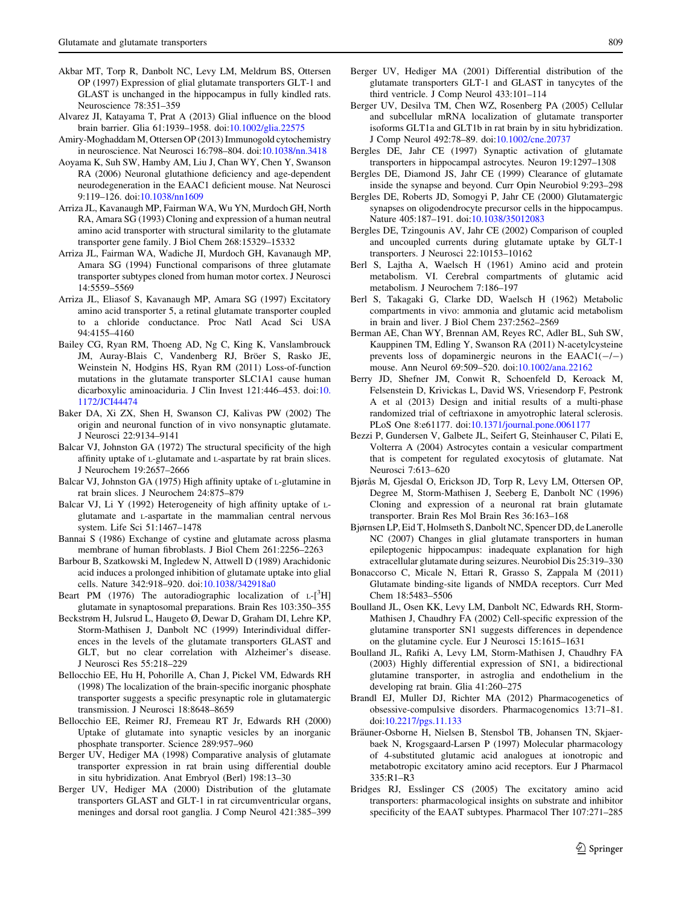- <span id="page-10-0"></span>Akbar MT, Torp R, Danbolt NC, Levy LM, Meldrum BS, Ottersen OP (1997) Expression of glial glutamate transporters GLT-1 and GLAST is unchanged in the hippocampus in fully kindled rats. Neuroscience 78:351–359
- Alvarez JI, Katayama T, Prat A (2013) Glial influence on the blood brain barrier. Glia 61:1939–1958. doi:[10.1002/glia.22575](http://dx.doi.org/10.1002/glia.22575)
- Amiry-Moghaddam M, Ottersen OP (2013) Immunogold cytochemistry in neuroscience. Nat Neurosci 16:798–804. doi:[10.1038/nn.3418](http://dx.doi.org/10.1038/nn.3418)
- Aoyama K, Suh SW, Hamby AM, Liu J, Chan WY, Chen Y, Swanson RA (2006) Neuronal glutathione deficiency and age-dependent neurodegeneration in the EAAC1 deficient mouse. Nat Neurosci 9:119–126. doi[:10.1038/nn1609](http://dx.doi.org/10.1038/nn1609)
- Arriza JL, Kavanaugh MP, Fairman WA, Wu YN, Murdoch GH, North RA, Amara SG (1993) Cloning and expression of a human neutral amino acid transporter with structural similarity to the glutamate transporter gene family. J Biol Chem 268:15329–15332
- Arriza JL, Fairman WA, Wadiche JI, Murdoch GH, Kavanaugh MP, Amara SG (1994) Functional comparisons of three glutamate transporter subtypes cloned from human motor cortex. J Neurosci 14:5559–5569
- Arriza JL, Eliasof S, Kavanaugh MP, Amara SG (1997) Excitatory amino acid transporter 5, a retinal glutamate transporter coupled to a chloride conductance. Proc Natl Acad Sci USA 94:4155–4160
- Bailey CG, Ryan RM, Thoeng AD, Ng C, King K, Vanslambrouck JM, Auray-Blais C, Vandenberg RJ, Bröer S, Rasko JE, Weinstein N, Hodgins HS, Ryan RM (2011) Loss-of-function mutations in the glutamate transporter SLC1A1 cause human dicarboxylic aminoaciduria. J Clin Invest 121:446–453. doi:[10.](http://dx.doi.org/10.1172/JCI44474) [1172/JCI44474](http://dx.doi.org/10.1172/JCI44474)
- Baker DA, Xi ZX, Shen H, Swanson CJ, Kalivas PW (2002) The origin and neuronal function of in vivo nonsynaptic glutamate. J Neurosci 22:9134–9141
- Balcar VJ, Johnston GA (1972) The structural specificity of the high affinity uptake of L-glutamate and L-aspartate by rat brain slices. J Neurochem 19:2657–2666
- Balcar VJ, Johnston GA (1975) High affinity uptake of L-glutamine in rat brain slices. J Neurochem 24:875–879
- Balcar VJ, Li Y (1992) Heterogeneity of high affinity uptake of Lglutamate and L-aspartate in the mammalian central nervous system. Life Sci 51:1467–1478
- Bannai S (1986) Exchange of cystine and glutamate across plasma membrane of human fibroblasts. J Biol Chem 261:2256–2263
- Barbour B, Szatkowski M, Ingledew N, Attwell D (1989) Arachidonic acid induces a prolonged inhibition of glutamate uptake into glial cells. Nature 342:918–920. doi[:10.1038/342918a0](http://dx.doi.org/10.1038/342918a0)
- Beart PM (1976) The autoradiographic localization of  $L$ - $[3H]$ glutamate in synaptosomal preparations. Brain Res 103:350–355
- Beckstrøm H, Julsrud L, Haugeto Ø, Dewar D, Graham DI, Lehre KP, Storm-Mathisen J, Danbolt NC (1999) Interindividual differences in the levels of the glutamate transporters GLAST and GLT, but no clear correlation with Alzheimer's disease. J Neurosci Res 55:218–229
- Bellocchio EE, Hu H, Pohorille A, Chan J, Pickel VM, Edwards RH (1998) The localization of the brain-specific inorganic phosphate transporter suggests a specific presynaptic role in glutamatergic transmission. J Neurosci 18:8648–8659
- Bellocchio EE, Reimer RJ, Fremeau RT Jr, Edwards RH (2000) Uptake of glutamate into synaptic vesicles by an inorganic phosphate transporter. Science 289:957–960
- Berger UV, Hediger MA (1998) Comparative analysis of glutamate transporter expression in rat brain using differential double in situ hybridization. Anat Embryol (Berl) 198:13–30
- Berger UV, Hediger MA (2000) Distribution of the glutamate transporters GLAST and GLT-1 in rat circumventricular organs, meninges and dorsal root ganglia. J Comp Neurol 421:385–399
- Berger UV, Hediger MA (2001) Differential distribution of the glutamate transporters GLT-1 and GLAST in tanycytes of the third ventricle. J Comp Neurol 433:101–114
- Berger UV, Desilva TM, Chen WZ, Rosenberg PA (2005) Cellular and subcellular mRNA localization of glutamate transporter isoforms GLT1a and GLT1b in rat brain by in situ hybridization. J Comp Neurol 492:78–89. doi:[10.1002/cne.20737](http://dx.doi.org/10.1002/cne.20737)
- Bergles DE, Jahr CE (1997) Synaptic activation of glutamate transporters in hippocampal astrocytes. Neuron 19:1297–1308
- Bergles DE, Diamond JS, Jahr CE (1999) Clearance of glutamate inside the synapse and beyond. Curr Opin Neurobiol 9:293–298
- Bergles DE, Roberts JD, Somogyi P, Jahr CE (2000) Glutamatergic synapses on oligodendrocyte precursor cells in the hippocampus. Nature 405:187–191. doi[:10.1038/35012083](http://dx.doi.org/10.1038/35012083)
- Bergles DE, Tzingounis AV, Jahr CE (2002) Comparison of coupled and uncoupled currents during glutamate uptake by GLT-1 transporters. J Neurosci 22:10153–10162
- Berl S, Lajtha A, Waelsch H (1961) Amino acid and protein metabolism. VI. Cerebral compartments of glutamic acid metabolism. J Neurochem 7:186–197
- Berl S, Takagaki G, Clarke DD, Waelsch H (1962) Metabolic compartments in vivo: ammonia and glutamic acid metabolism in brain and liver. J Biol Chem 237:2562–2569
- Berman AE, Chan WY, Brennan AM, Reyes RC, Adler BL, Suh SW, Kauppinen TM, Edling Y, Swanson RA (2011) N-acetylcysteine prevents loss of dopaminergic neurons in the  $EAACl(-/-)$ mouse. Ann Neurol 69:509–520. doi:[10.1002/ana.22162](http://dx.doi.org/10.1002/ana.22162)
- Berry JD, Shefner JM, Conwit R, Schoenfeld D, Keroack M, Felsenstein D, Krivickas L, David WS, Vriesendorp F, Pestronk A et al (2013) Design and initial results of a multi-phase randomized trial of ceftriaxone in amyotrophic lateral sclerosis. PLoS One 8:e61177. doi[:10.1371/journal.pone.0061177](http://dx.doi.org/10.1371/journal.pone.0061177)
- Bezzi P, Gundersen V, Galbete JL, Seifert G, Steinhauser C, Pilati E, Volterra A (2004) Astrocytes contain a vesicular compartment that is competent for regulated exocytosis of glutamate. Nat Neurosci 7:613–620
- Bjørås M, Gjesdal O, Erickson JD, Torp R, Levy LM, Ottersen OP, Degree M, Storm-Mathisen J, Seeberg E, Danbolt NC (1996) Cloning and expression of a neuronal rat brain glutamate transporter. Brain Res Mol Brain Res 36:163–168
- Bjørnsen LP, Eid T, Holmseth S, Danbolt NC, Spencer DD, de Lanerolle NC (2007) Changes in glial glutamate transporters in human epileptogenic hippocampus: inadequate explanation for high extracellular glutamate during seizures. Neurobiol Dis 25:319–330
- Bonaccorso C, Micale N, Ettari R, Grasso S, Zappala M (2011) Glutamate binding-site ligands of NMDA receptors. Curr Med Chem 18:5483–5506
- Boulland JL, Osen KK, Levy LM, Danbolt NC, Edwards RH, Storm-Mathisen J, Chaudhry FA (2002) Cell-specific expression of the glutamine transporter SN1 suggests differences in dependence on the glutamine cycle. Eur J Neurosci 15:1615–1631
- Boulland JL, Rafiki A, Levy LM, Storm-Mathisen J, Chaudhry FA (2003) Highly differential expression of SN1, a bidirectional glutamine transporter, in astroglia and endothelium in the developing rat brain. Glia 41:260–275
- Brandl EJ, Muller DJ, Richter MA (2012) Pharmacogenetics of obsessive-compulsive disorders. Pharmacogenomics 13:71–81. doi[:10.2217/pgs.11.133](http://dx.doi.org/10.2217/pgs.11.133)
- Bräuner-Osborne H, Nielsen B, Stensbol TB, Johansen TN, Skjaerbaek N, Krogsgaard-Larsen P (1997) Molecular pharmacology of 4-substituted glutamic acid analogues at ionotropic and metabotropic excitatory amino acid receptors. Eur J Pharmacol 335:R1–R3
- Bridges RJ, Esslinger CS (2005) The excitatory amino acid transporters: pharmacological insights on substrate and inhibitor specificity of the EAAT subtypes. Pharmacol Ther 107:271–285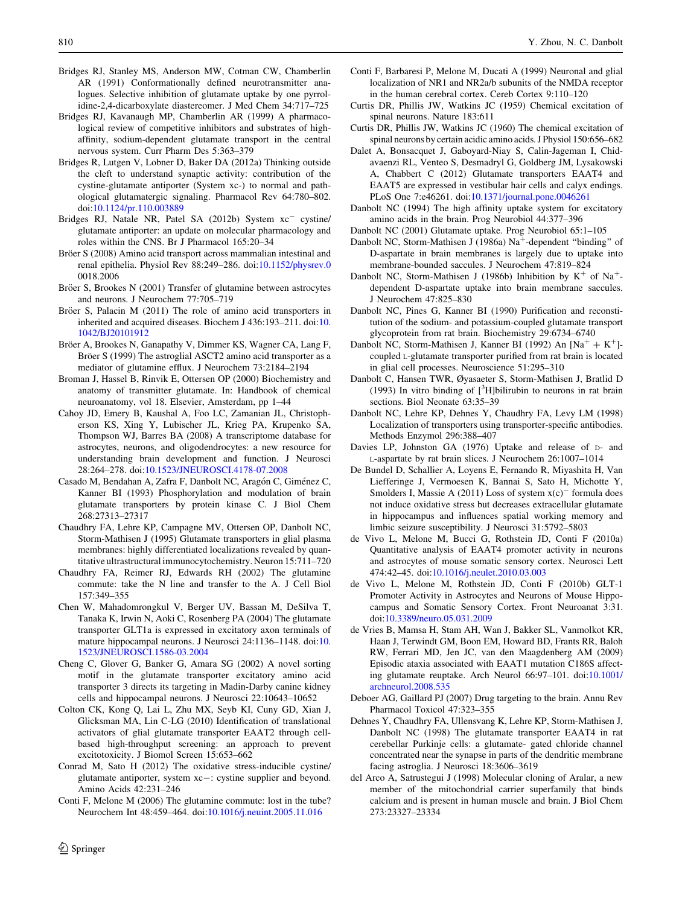- <span id="page-11-0"></span>Bridges RJ, Stanley MS, Anderson MW, Cotman CW, Chamberlin AR (1991) Conformationally defined neurotransmitter analogues. Selective inhibition of glutamate uptake by one pyrrolidine-2,4-dicarboxylate diastereomer. J Med Chem 34:717–725
- Bridges RJ, Kavanaugh MP, Chamberlin AR (1999) A pharmacological review of competitive inhibitors and substrates of highaffinity, sodium-dependent glutamate transport in the central nervous system. Curr Pharm Des 5:363–379
- Bridges R, Lutgen V, Lobner D, Baker DA (2012a) Thinking outside the cleft to understand synaptic activity: contribution of the cystine-glutamate antiporter (System xc-) to normal and pathological glutamatergic signaling. Pharmacol Rev 64:780–802. doi[:10.1124/pr.110.003889](http://dx.doi.org/10.1124/pr.110.003889)
- Bridges RJ, Natale NR, Patel SA (2012b) System  $xc^-$  cystine/ glutamate antiporter: an update on molecular pharmacology and roles within the CNS. Br J Pharmacol 165:20–34
- Bröer S (2008) Amino acid transport across mammalian intestinal and renal epithelia. Physiol Rev 88:249–286. doi[:10.1152/physrev.0](http://dx.doi.org/10.1152/physrev.0) 0018.2006
- Bröer S, Brookes N (2001) Transfer of glutamine between astrocytes and neurons. J Neurochem 77:705–719
- Bröer S, Palacin M (2011) The role of amino acid transporters in inherited and acquired diseases. Biochem J 436:193–211. doi:[10.](http://dx.doi.org/10.1042/BJ20101912) [1042/BJ20101912](http://dx.doi.org/10.1042/BJ20101912)
- Bröer A, Brookes N, Ganapathy V, Dimmer KS, Wagner CA, Lang F, Bröer S (1999) The astroglial ASCT2 amino acid transporter as a mediator of glutamine efflux. J Neurochem 73:2184–2194
- Broman J, Hassel B, Rinvik E, Ottersen OP (2000) Biochemistry and anatomy of transmitter glutamate. In: Handbook of chemical neuroanatomy, vol 18. Elsevier, Amsterdam, pp 1–44
- Cahoy JD, Emery B, Kaushal A, Foo LC, Zamanian JL, Christopherson KS, Xing Y, Lubischer JL, Krieg PA, Krupenko SA, Thompson WJ, Barres BA (2008) A transcriptome database for astrocytes, neurons, and oligodendrocytes: a new resource for understanding brain development and function. J Neurosci 28:264–278. doi:[10.1523/JNEUROSCI.4178-07.2008](http://dx.doi.org/10.1523/JNEUROSCI.4178-07.2008)
- Casado M, Bendahan A, Zafra F, Danbolt NC, Aragón C, Giménez C, Kanner BI (1993) Phosphorylation and modulation of brain glutamate transporters by protein kinase C. J Biol Chem 268:27313–27317
- Chaudhry FA, Lehre KP, Campagne MV, Ottersen OP, Danbolt NC, Storm-Mathisen J (1995) Glutamate transporters in glial plasma membranes: highly differentiated localizations revealed by quantitative ultrastructural immunocytochemistry. Neuron 15:711–720
- Chaudhry FA, Reimer RJ, Edwards RH (2002) The glutamine commute: take the N line and transfer to the A. J Cell Biol 157:349–355
- Chen W, Mahadomrongkul V, Berger UV, Bassan M, DeSilva T, Tanaka K, Irwin N, Aoki C, Rosenberg PA (2004) The glutamate transporter GLT1a is expressed in excitatory axon terminals of mature hippocampal neurons. J Neurosci 24:1136–1148. doi:[10.](http://dx.doi.org/10.1523/JNEUROSCI.1586-03.2004) [1523/JNEUROSCI.1586-03.2004](http://dx.doi.org/10.1523/JNEUROSCI.1586-03.2004)
- Cheng C, Glover G, Banker G, Amara SG (2002) A novel sorting motif in the glutamate transporter excitatory amino acid transporter 3 directs its targeting in Madin-Darby canine kidney cells and hippocampal neurons. J Neurosci 22:10643–10652
- Colton CK, Kong Q, Lai L, Zhu MX, Seyb KI, Cuny GD, Xian J, Glicksman MA, Lin C-LG (2010) Identification of translational activators of glial glutamate transporter EAAT2 through cellbased high-throughput screening: an approach to prevent excitotoxicity. J Biomol Screen 15:653–662
- Conrad M, Sato H (2012) The oxidative stress-inducible cystine/ glutamate antiporter, system xc-: cystine supplier and beyond. Amino Acids 42:231–246
- Conti F, Melone M (2006) The glutamine commute: lost in the tube? Neurochem Int 48:459–464. doi[:10.1016/j.neuint.2005.11.016](http://dx.doi.org/10.1016/j.neuint.2005.11.016)
- Conti F, Barbaresi P, Melone M, Ducati A (1999) Neuronal and glial localization of NR1 and NR2a/b subunits of the NMDA receptor in the human cerebral cortex. Cereb Cortex 9:110–120
- Curtis DR, Phillis JW, Watkins JC (1959) Chemical excitation of spinal neurons. Nature 183:611
- Curtis DR, Phillis JW, Watkins JC (1960) The chemical excitation of spinal neurons by certain acidic amino acids. J Physiol 150:656–682
- Dalet A, Bonsacquet J, Gaboyard-Niay S, Calin-Jageman I, Chidavaenzi RL, Venteo S, Desmadryl G, Goldberg JM, Lysakowski A, Chabbert C (2012) Glutamate transporters EAAT4 and EAAT5 are expressed in vestibular hair cells and calyx endings. PLoS One 7:e46261. doi[:10.1371/journal.pone.0046261](http://dx.doi.org/10.1371/journal.pone.0046261)
- Danbolt NC (1994) The high affinity uptake system for excitatory amino acids in the brain. Prog Neurobiol 44:377–396
- Danbolt NC (2001) Glutamate uptake. Prog Neurobiol 65:1–105
- Danbolt NC, Storm-Mathisen J (1986a) Na<sup>+</sup>-dependent "binding" of D-aspartate in brain membranes is largely due to uptake into membrane-bounded saccules. J Neurochem 47:819–824
- Danbolt NC, Storm-Mathisen J (1986b) Inhibition by  $K^+$  of Na<sup>+</sup>dependent D-aspartate uptake into brain membrane saccules. J Neurochem 47:825–830
- Danbolt NC, Pines G, Kanner BI (1990) Purification and reconstitution of the sodium- and potassium-coupled glutamate transport glycoprotein from rat brain. Biochemistry 29:6734–6740
- Danbolt NC, Storm-Mathisen J, Kanner BI (1992) An  $[Na^+ + K^+]$ coupled L-glutamate transporter purified from rat brain is located in glial cell processes. Neuroscience 51:295–310
- Danbolt C, Hansen TWR, Øyasaeter S, Storm-Mathisen J, Bratlid D (1993) In vitro binding of  $[^{3}H]$ bilirubin to neurons in rat brain sections. Biol Neonate 63:35–39
- Danbolt NC, Lehre KP, Dehnes Y, Chaudhry FA, Levy LM (1998) Localization of transporters using transporter-specific antibodies. Methods Enzymol 296:388–407
- Davies LP, Johnston GA (1976) Uptake and release of D- and L-aspartate by rat brain slices. J Neurochem 26:1007–1014
- De Bundel D, Schallier A, Loyens E, Fernando R, Miyashita H, Van Liefferinge J, Vermoesen K, Bannai S, Sato H, Michotte Y, Smolders I, Massie A (2011) Loss of system  $x(c)^{-}$  formula does not induce oxidative stress but decreases extracellular glutamate in hippocampus and influences spatial working memory and limbic seizure susceptibility. J Neurosci 31:5792–5803
- de Vivo L, Melone M, Bucci G, Rothstein JD, Conti F (2010a) Quantitative analysis of EAAT4 promoter activity in neurons and astrocytes of mouse somatic sensory cortex. Neurosci Lett 474:42–45. doi:[10.1016/j.neulet.2010.03.003](http://dx.doi.org/10.1016/j.neulet.2010.03.003)
- de Vivo L, Melone M, Rothstein JD, Conti F (2010b) GLT-1 Promoter Activity in Astrocytes and Neurons of Mouse Hippocampus and Somatic Sensory Cortex. Front Neuroanat 3:31. doi[:10.3389/neuro.05.031.2009](http://dx.doi.org/10.3389/neuro.05.031.2009)
- de Vries B, Mamsa H, Stam AH, Wan J, Bakker SL, Vanmolkot KR, Haan J, Terwindt GM, Boon EM, Howard BD, Frants RR, Baloh RW, Ferrari MD, Jen JC, van den Maagdenberg AM (2009) Episodic ataxia associated with EAAT1 mutation C186S affecting glutamate reuptake. Arch Neurol 66:97–101. doi[:10.1001/](http://dx.doi.org/10.1001/archneurol.2008.535) [archneurol.2008.535](http://dx.doi.org/10.1001/archneurol.2008.535)
- Deboer AG, Gaillard PJ (2007) Drug targeting to the brain. Annu Rev Pharmacol Toxicol 47:323–355
- Dehnes Y, Chaudhry FA, Ullensvang K, Lehre KP, Storm-Mathisen J, Danbolt NC (1998) The glutamate transporter EAAT4 in rat cerebellar Purkinje cells: a glutamate- gated chloride channel concentrated near the synapse in parts of the dendritic membrane facing astroglia. J Neurosci 18:3606–3619
- del Arco A, Satrustegui J (1998) Molecular cloning of Aralar, a new member of the mitochondrial carrier superfamily that binds calcium and is present in human muscle and brain. J Biol Chem 273:23327–23334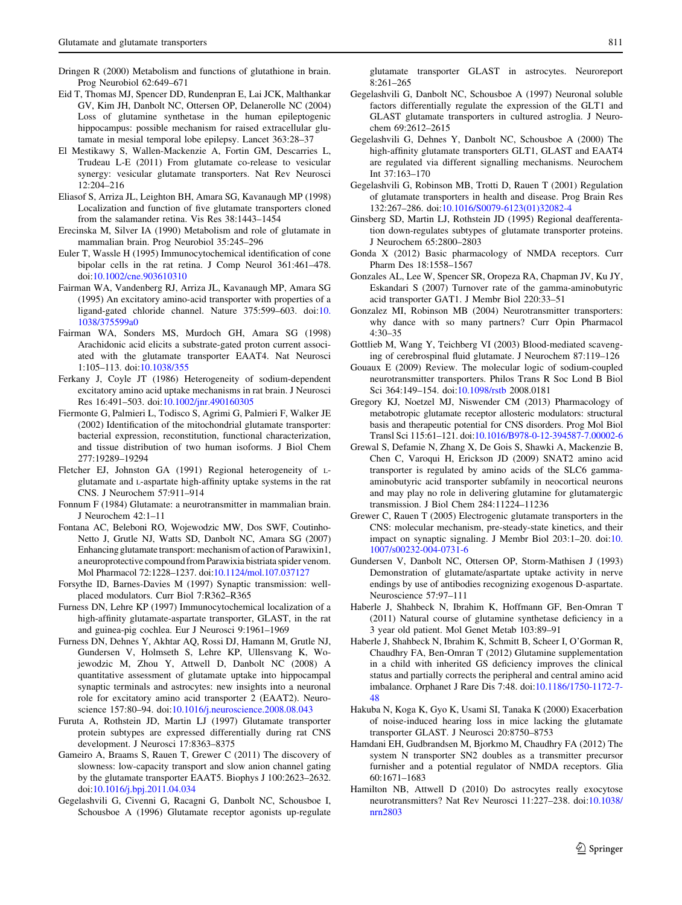- <span id="page-12-0"></span>Dringen R (2000) Metabolism and functions of glutathione in brain. Prog Neurobiol 62:649–671
- Eid T, Thomas MJ, Spencer DD, Rundenpran E, Lai JCK, Malthankar GV, Kim JH, Danbolt NC, Ottersen OP, Delanerolle NC (2004) Loss of glutamine synthetase in the human epileptogenic hippocampus: possible mechanism for raised extracellular glutamate in mesial temporal lobe epilepsy. Lancet 363:28–37
- El Mestikawy S, Wallen-Mackenzie A, Fortin GM, Descarries L, Trudeau L-E (2011) From glutamate co-release to vesicular synergy: vesicular glutamate transporters. Nat Rev Neurosci 12:204–216
- Eliasof S, Arriza JL, Leighton BH, Amara SG, Kavanaugh MP (1998) Localization and function of five glutamate transporters cloned from the salamander retina. Vis Res 38:1443–1454
- Erecinska M, Silver IA (1990) Metabolism and role of glutamate in mammalian brain. Prog Neurobiol 35:245–296
- Euler T, Wassle H (1995) Immunocytochemical identification of cone bipolar cells in the rat retina. J Comp Neurol 361:461–478. doi[:10.1002/cne.903610310](http://dx.doi.org/10.1002/cne.903610310)
- Fairman WA, Vandenberg RJ, Arriza JL, Kavanaugh MP, Amara SG (1995) An excitatory amino-acid transporter with properties of a ligand-gated chloride channel. Nature 375:599–603. doi:[10.](http://dx.doi.org/10.1038/375599a0) [1038/375599a0](http://dx.doi.org/10.1038/375599a0)
- Fairman WA, Sonders MS, Murdoch GH, Amara SG (1998) Arachidonic acid elicits a substrate-gated proton current associated with the glutamate transporter EAAT4. Nat Neurosci 1:105–113. doi[:10.1038/355](http://dx.doi.org/10.1038/355)
- Ferkany J, Coyle JT (1986) Heterogeneity of sodium-dependent excitatory amino acid uptake mechanisms in rat brain. J Neurosci Res 16:491–503. doi[:10.1002/jnr.490160305](http://dx.doi.org/10.1002/jnr.490160305)
- Fiermonte G, Palmieri L, Todisco S, Agrimi G, Palmieri F, Walker JE (2002) Identification of the mitochondrial glutamate transporter: bacterial expression, reconstitution, functional characterization, and tissue distribution of two human isoforms. J Biol Chem 277:19289–19294
- Fletcher EJ, Johnston GA (1991) Regional heterogeneity of Lglutamate and L-aspartate high-affinity uptake systems in the rat CNS. J Neurochem 57:911–914
- Fonnum F (1984) Glutamate: a neurotransmitter in mammalian brain. J Neurochem 42:1–11
- Fontana AC, Beleboni RO, Wojewodzic MW, Dos SWF, Coutinho-Netto J, Grutle NJ, Watts SD, Danbolt NC, Amara SG (2007) Enhancing glutamate transport: mechanism of action of Parawixin1, a neuroprotective compound from Parawixia bistriata spider venom. Mol Pharmacol 72:1228–1237. doi:[10.1124/mol.107.037127](http://dx.doi.org/10.1124/mol.107.037127)
- Forsythe ID, Barnes-Davies M (1997) Synaptic transmission: wellplaced modulators. Curr Biol 7:R362–R365
- Furness DN, Lehre KP (1997) Immunocytochemical localization of a high-affinity glutamate-aspartate transporter, GLAST, in the rat and guinea-pig cochlea. Eur J Neurosci 9:1961–1969
- Furness DN, Dehnes Y, Akhtar AQ, Rossi DJ, Hamann M, Grutle NJ, Gundersen V, Holmseth S, Lehre KP, Ullensvang K, Wojewodzic M, Zhou Y, Attwell D, Danbolt NC (2008) A quantitative assessment of glutamate uptake into hippocampal synaptic terminals and astrocytes: new insights into a neuronal role for excitatory amino acid transporter 2 (EAAT2). Neuroscience 157:80–94. doi[:10.1016/j.neuroscience.2008.08.043](http://dx.doi.org/10.1016/j.neuroscience.2008.08.043)
- Furuta A, Rothstein JD, Martin LJ (1997) Glutamate transporter protein subtypes are expressed differentially during rat CNS development. J Neurosci 17:8363–8375
- Gameiro A, Braams S, Rauen T, Grewer C (2011) The discovery of slowness: low-capacity transport and slow anion channel gating by the glutamate transporter EAAT5. Biophys J 100:2623–2632. doi[:10.1016/j.bpj.2011.04.034](http://dx.doi.org/10.1016/j.bpj.2011.04.034)
- Gegelashvili G, Civenni G, Racagni G, Danbolt NC, Schousboe I, Schousboe A (1996) Glutamate receptor agonists up-regulate

glutamate transporter GLAST in astrocytes. Neuroreport 8:261–265

- Gegelashvili G, Danbolt NC, Schousboe A (1997) Neuronal soluble factors differentially regulate the expression of the GLT1 and GLAST glutamate transporters in cultured astroglia. J Neurochem 69:2612–2615
- Gegelashvili G, Dehnes Y, Danbolt NC, Schousboe A (2000) The high-affinity glutamate transporters GLT1, GLAST and EAAT4 are regulated via different signalling mechanisms. Neurochem Int 37:163–170
- Gegelashvili G, Robinson MB, Trotti D, Rauen T (2001) Regulation of glutamate transporters in health and disease. Prog Brain Res 132:267–286. doi[:10.1016/S0079-6123\(01\)32082-4](http://dx.doi.org/10.1016/S0079-6123(01)32082-4)
- Ginsberg SD, Martin LJ, Rothstein JD (1995) Regional deafferentation down-regulates subtypes of glutamate transporter proteins. J Neurochem 65:2800–2803
- Gonda X (2012) Basic pharmacology of NMDA receptors. Curr Pharm Des 18:1558–1567
- Gonzales AL, Lee W, Spencer SR, Oropeza RA, Chapman JV, Ku JY, Eskandari S (2007) Turnover rate of the gamma-aminobutyric acid transporter GAT1. J Membr Biol 220:33–51
- Gonzalez MI, Robinson MB (2004) Neurotransmitter transporters: why dance with so many partners? Curr Opin Pharmacol 4:30–35
- Gottlieb M, Wang Y, Teichberg VI (2003) Blood-mediated scavenging of cerebrospinal fluid glutamate. J Neurochem 87:119–126
- Gouaux E (2009) Review. The molecular logic of sodium-coupled neurotransmitter transporters. Philos Trans R Soc Lond B Biol Sci 364:149–154. doi:[10.1098/rstb](http://dx.doi.org/10.1098/rstb) 2008.0181
- Gregory KJ, Noetzel MJ, Niswender CM (2013) Pharmacology of metabotropic glutamate receptor allosteric modulators: structural basis and therapeutic potential for CNS disorders. Prog Mol Biol Transl Sci 115:61–121. doi:[10.1016/B978-0-12-394587-7.00002-6](http://dx.doi.org/10.1016/B978-0-12-394587-7.00002-6)
- Grewal S, Defamie N, Zhang X, De Gois S, Shawki A, Mackenzie B, Chen C, Varoqui H, Erickson JD (2009) SNAT2 amino acid transporter is regulated by amino acids of the SLC6 gammaaminobutyric acid transporter subfamily in neocortical neurons and may play no role in delivering glutamine for glutamatergic transmission. J Biol Chem 284:11224–11236
- Grewer C, Rauen T (2005) Electrogenic glutamate transporters in the CNS: molecular mechanism, pre-steady-state kinetics, and their impact on synaptic signaling. J Membr Biol 203:1–20. doi:[10.](http://dx.doi.org/10.1007/s00232-004-0731-6) [1007/s00232-004-0731-6](http://dx.doi.org/10.1007/s00232-004-0731-6)
- Gundersen V, Danbolt NC, Ottersen OP, Storm-Mathisen J (1993) Demonstration of glutamate/aspartate uptake activity in nerve endings by use of antibodies recognizing exogenous D-aspartate. Neuroscience 57:97–111
- Haberle J, Shahbeck N, Ibrahim K, Hoffmann GF, Ben-Omran T (2011) Natural course of glutamine synthetase deficiency in a 3 year old patient. Mol Genet Metab 103:89–91
- Haberle J, Shahbeck N, Ibrahim K, Schmitt B, Scheer I, O'Gorman R, Chaudhry FA, Ben-Omran T (2012) Glutamine supplementation in a child with inherited GS deficiency improves the clinical status and partially corrects the peripheral and central amino acid imbalance. Orphanet J Rare Dis 7:48. doi:[10.1186/1750-1172-7-](http://dx.doi.org/10.1186/1750-1172-7-48) [48](http://dx.doi.org/10.1186/1750-1172-7-48)
- Hakuba N, Koga K, Gyo K, Usami SI, Tanaka K (2000) Exacerbation of noise-induced hearing loss in mice lacking the glutamate transporter GLAST. J Neurosci 20:8750–8753
- Hamdani EH, Gudbrandsen M, Bjorkmo M, Chaudhry FA (2012) The system N transporter SN2 doubles as a transmitter precursor furnisher and a potential regulator of NMDA receptors. Glia 60:1671–1683
- Hamilton NB, Attwell D (2010) Do astrocytes really exocytose neurotransmitters? Nat Rev Neurosci 11:227–238. doi[:10.1038/](http://dx.doi.org/10.1038/nrn2803) [nrn2803](http://dx.doi.org/10.1038/nrn2803)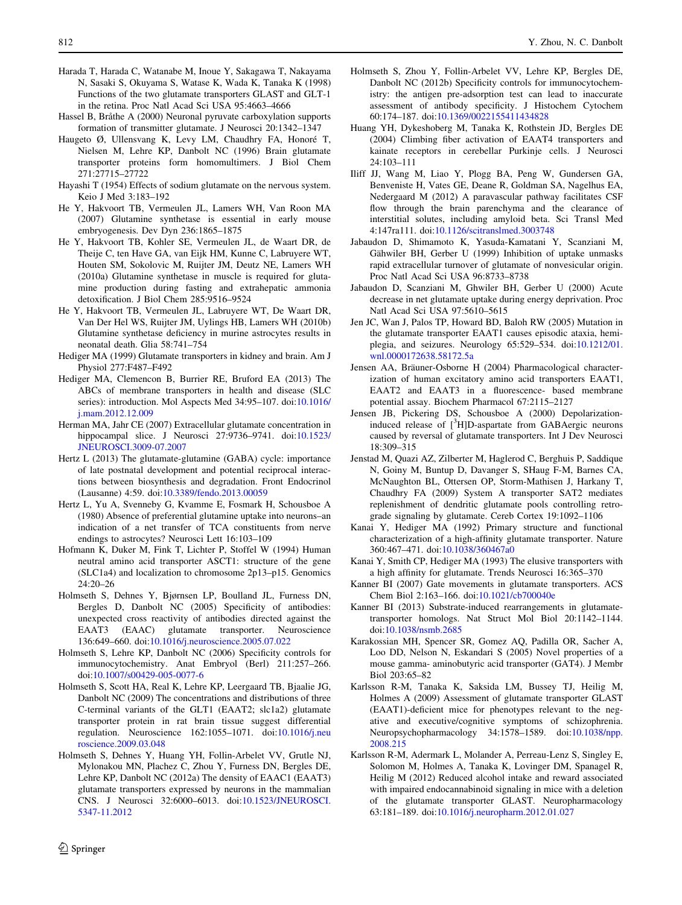- <span id="page-13-0"></span>Harada T, Harada C, Watanabe M, Inoue Y, Sakagawa T, Nakayama N, Sasaki S, Okuyama S, Watase K, Wada K, Tanaka K (1998) Functions of the two glutamate transporters GLAST and GLT-1 in the retina. Proc Natl Acad Sci USA 95:4663–4666
- Hassel B, Bråthe A (2000) Neuronal pyruvate carboxylation supports formation of transmitter glutamate. J Neurosci 20:1342–1347
- Haugeto Ø, Ullensvang K, Levy LM, Chaudhry FA, Honoré T, Nielsen M, Lehre KP, Danbolt NC (1996) Brain glutamate transporter proteins form homomultimers. J Biol Chem 271:27715–27722
- Hayashi T (1954) Effects of sodium glutamate on the nervous system. Keio J Med 3:183–192
- He Y, Hakvoort TB, Vermeulen JL, Lamers WH, Van Roon MA (2007) Glutamine synthetase is essential in early mouse embryogenesis. Dev Dyn 236:1865–1875
- He Y, Hakvoort TB, Kohler SE, Vermeulen JL, de Waart DR, de Theije C, ten Have GA, van Eijk HM, Kunne C, Labruyere WT, Houten SM, Sokolovic M, Ruijter JM, Deutz NE, Lamers WH (2010a) Glutamine synthetase in muscle is required for glutamine production during fasting and extrahepatic ammonia detoxification. J Biol Chem 285:9516–9524
- He Y, Hakvoort TB, Vermeulen JL, Labruyere WT, De Waart DR, Van Der Hel WS, Ruijter JM, Uylings HB, Lamers WH (2010b) Glutamine synthetase deficiency in murine astrocytes results in neonatal death. Glia 58:741–754
- Hediger MA (1999) Glutamate transporters in kidney and brain. Am J Physiol 277:F487–F492
- Hediger MA, Clemencon B, Burrier RE, Bruford EA (2013) The ABCs of membrane transporters in health and disease (SLC series): introduction. Mol Aspects Med 34:95–107. doi[:10.1016/](http://dx.doi.org/10.1016/j.mam.2012.12.009) [j.mam.2012.12.009](http://dx.doi.org/10.1016/j.mam.2012.12.009)
- Herman MA, Jahr CE (2007) Extracellular glutamate concentration in hippocampal slice. J Neurosci 27:9736-9741. doi[:10.1523/](http://dx.doi.org/10.1523/JNEUROSCI.3009-07.2007) [JNEUROSCI.3009-07.2007](http://dx.doi.org/10.1523/JNEUROSCI.3009-07.2007)
- Hertz L (2013) The glutamate-glutamine (GABA) cycle: importance of late postnatal development and potential reciprocal interactions between biosynthesis and degradation. Front Endocrinol (Lausanne) 4:59. doi[:10.3389/fendo.2013.00059](http://dx.doi.org/10.3389/fendo.2013.00059)
- Hertz L, Yu A, Svenneby G, Kvamme E, Fosmark H, Schousboe A (1980) Absence of preferential glutamine uptake into neurons–an indication of a net transfer of TCA constituents from nerve endings to astrocytes? Neurosci Lett 16:103–109
- Hofmann K, Duker M, Fink T, Lichter P, Stoffel W (1994) Human neutral amino acid transporter ASCT1: structure of the gene (SLC1a4) and localization to chromosome 2p13–p15. Genomics 24:20–26
- Holmseth S, Dehnes Y, Bjørnsen LP, Boulland JL, Furness DN, Bergles D, Danbolt NC (2005) Specificity of antibodies: unexpected cross reactivity of antibodies directed against the EAAT3 (EAAC) glutamate transporter. Neuroscience 136:649–660. doi:[10.1016/j.neuroscience.2005.07.022](http://dx.doi.org/10.1016/j.neuroscience.2005.07.022)
- Holmseth S, Lehre KP, Danbolt NC (2006) Specificity controls for immunocytochemistry. Anat Embryol (Berl) 211:257–266. doi[:10.1007/s00429-005-0077-6](http://dx.doi.org/10.1007/s00429-005-0077-6)
- Holmseth S, Scott HA, Real K, Lehre KP, Leergaard TB, Bjaalie JG, Danbolt NC (2009) The concentrations and distributions of three C-terminal variants of the GLT1 (EAAT2; slc1a2) glutamate transporter protein in rat brain tissue suggest differential regulation. Neuroscience 162:1055–1071. doi[:10.1016/j.neu](http://dx.doi.org/10.1016/j.neuroscience.2009.03.048) [roscience.2009.03.048](http://dx.doi.org/10.1016/j.neuroscience.2009.03.048)
- Holmseth S, Dehnes Y, Huang YH, Follin-Arbelet VV, Grutle NJ, Mylonakou MN, Plachez C, Zhou Y, Furness DN, Bergles DE, Lehre KP, Danbolt NC (2012a) The density of EAAC1 (EAAT3) glutamate transporters expressed by neurons in the mammalian CNS. J Neurosci 32:6000–6013. doi:[10.1523/JNEUROSCI.](http://dx.doi.org/10.1523/JNEUROSCI.5347-11.2012) [5347-11.2012](http://dx.doi.org/10.1523/JNEUROSCI.5347-11.2012)
- Holmseth S, Zhou Y, Follin-Arbelet VV, Lehre KP, Bergles DE, Danbolt NC (2012b) Specificity controls for immunocytochemistry: the antigen pre-adsorption test can lead to inaccurate assessment of antibody specificity. J Histochem Cytochem 60:174–187. doi:[10.1369/0022155411434828](http://dx.doi.org/10.1369/0022155411434828)
- Huang YH, Dykeshoberg M, Tanaka K, Rothstein JD, Bergles DE (2004) Climbing fiber activation of EAAT4 transporters and kainate receptors in cerebellar Purkinje cells. J Neurosci 24:103–111
- Iliff JJ, Wang M, Liao Y, Plogg BA, Peng W, Gundersen GA, Benveniste H, Vates GE, Deane R, Goldman SA, Nagelhus EA, Nedergaard M (2012) A paravascular pathway facilitates CSF flow through the brain parenchyma and the clearance of interstitial solutes, including amyloid beta. Sci Transl Med 4:147ra111. doi:[10.1126/scitranslmed.3003748](http://dx.doi.org/10.1126/scitranslmed.3003748)
- Jabaudon D, Shimamoto K, Yasuda-Kamatani Y, Scanziani M, Gähwiler BH, Gerber U (1999) Inhibition of uptake unmasks rapid extracellular turnover of glutamate of nonvesicular origin. Proc Natl Acad Sci USA 96:8733–8738
- Jabaudon D, Scanziani M, Ghwiler BH, Gerber U (2000) Acute decrease in net glutamate uptake during energy deprivation. Proc Natl Acad Sci USA 97:5610–5615
- Jen JC, Wan J, Palos TP, Howard BD, Baloh RW (2005) Mutation in the glutamate transporter EAAT1 causes episodic ataxia, hemiplegia, and seizures. Neurology 65:529–534. doi:[10.1212/01.](http://dx.doi.org/10.1212/01.wnl.0000172638.58172.5a) [wnl.0000172638.58172.5a](http://dx.doi.org/10.1212/01.wnl.0000172638.58172.5a)
- Jensen AA, Bräuner-Osborne H (2004) Pharmacological characterization of human excitatory amino acid transporters EAAT1, EAAT2 and EAAT3 in a fluorescence- based membrane potential assay. Biochem Pharmacol 67:2115–2127
- Jensen JB, Pickering DS, Schousboe A (2000) Depolarizationinduced release of [<sup>3</sup>H]D-aspartate from GABAergic neurons caused by reversal of glutamate transporters. Int J Dev Neurosci 18:309–315
- Jenstad M, Quazi AZ, Zilberter M, Haglerod C, Berghuis P, Saddique N, Goiny M, Buntup D, Davanger S, SHaug F-M, Barnes CA, McNaughton BL, Ottersen OP, Storm-Mathisen J, Harkany T, Chaudhry FA (2009) System A transporter SAT2 mediates replenishment of dendritic glutamate pools controlling retrograde signaling by glutamate. Cereb Cortex 19:1092–1106
- Kanai Y, Hediger MA (1992) Primary structure and functional characterization of a high-affinity glutamate transporter. Nature 360:467–471. doi[:10.1038/360467a0](http://dx.doi.org/10.1038/360467a0)
- Kanai Y, Smith CP, Hediger MA (1993) The elusive transporters with a high affinity for glutamate. Trends Neurosci 16:365–370
- Kanner BI (2007) Gate movements in glutamate transporters. ACS Chem Biol 2:163–166. doi[:10.1021/cb700040e](http://dx.doi.org/10.1021/cb700040e)
- Kanner BI (2013) Substrate-induced rearrangements in glutamatetransporter homologs. Nat Struct Mol Biol 20:1142–1144. doi[:10.1038/nsmb.2685](http://dx.doi.org/10.1038/nsmb.2685)
- Karakossian MH, Spencer SR, Gomez AQ, Padilla OR, Sacher A, Loo DD, Nelson N, Eskandari S (2005) Novel properties of a mouse gamma- aminobutyric acid transporter (GAT4). J Membr Biol 203:65–82
- Karlsson R-M, Tanaka K, Saksida LM, Bussey TJ, Heilig M, Holmes A (2009) Assessment of glutamate transporter GLAST (EAAT1)-deficient mice for phenotypes relevant to the negative and executive/cognitive symptoms of schizophrenia. Neuropsychopharmacology 34:1578–1589. doi:[10.1038/npp.](http://dx.doi.org/10.1038/npp.2008.215) [2008.215](http://dx.doi.org/10.1038/npp.2008.215)
- Karlsson R-M, Adermark L, Molander A, Perreau-Lenz S, Singley E, Solomon M, Holmes A, Tanaka K, Lovinger DM, Spanagel R, Heilig M (2012) Reduced alcohol intake and reward associated with impaired endocannabinoid signaling in mice with a deletion of the glutamate transporter GLAST. Neuropharmacology 63:181–189. doi:[10.1016/j.neuropharm.2012.01.027](http://dx.doi.org/10.1016/j.neuropharm.2012.01.027)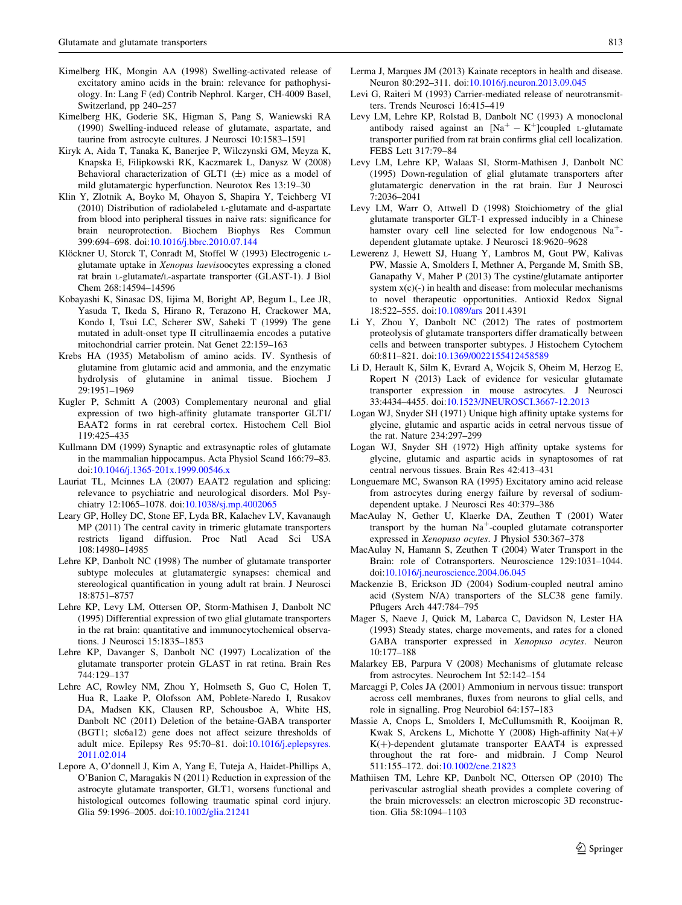- <span id="page-14-0"></span>Kimelberg HK, Mongin AA (1998) Swelling-activated release of excitatory amino acids in the brain: relevance for pathophysiology. In: Lang F (ed) Contrib Nephrol. Karger, CH-4009 Basel, Switzerland, pp 240–257
- Kimelberg HK, Goderie SK, Higman S, Pang S, Waniewski RA (1990) Swelling-induced release of glutamate, aspartate, and taurine from astrocyte cultures. J Neurosci 10:1583–1591
- Kiryk A, Aida T, Tanaka K, Banerjee P, Wilczynski GM, Meyza K, Knapska E, Filipkowski RK, Kaczmarek L, Danysz W (2008) Behavioral characterization of GLT1  $(\pm)$  mice as a model of mild glutamatergic hyperfunction. Neurotox Res 13:19–30
- Klin Y, Zlotnik A, Boyko M, Ohayon S, Shapira Y, Teichberg VI (2010) Distribution of radiolabeled L-glutamate and d-aspartate from blood into peripheral tissues in naive rats: significance for brain neuroprotection. Biochem Biophys Res Commun 399:694–698. doi:[10.1016/j.bbrc.2010.07.144](http://dx.doi.org/10.1016/j.bbrc.2010.07.144)
- Klöckner U, Storck T, Conradt M, Stoffel W (1993) Electrogenic Lglutamate uptake in Xenopus laevisoocytes expressing a cloned rat brain L-glutamate/L-aspartate transporter (GLAST-1). J Biol Chem 268:14594–14596
- Kobayashi K, Sinasac DS, Iijima M, Boright AP, Begum L, Lee JR, Yasuda T, Ikeda S, Hirano R, Terazono H, Crackower MA, Kondo I, Tsui LC, Scherer SW, Saheki T (1999) The gene mutated in adult-onset type II citrullinaemia encodes a putative mitochondrial carrier protein. Nat Genet 22:159–163
- Krebs HA (1935) Metabolism of amino acids. IV. Synthesis of glutamine from glutamic acid and ammonia, and the enzymatic hydrolysis of glutamine in animal tissue. Biochem J 29:1951–1969
- Kugler P, Schmitt A (2003) Complementary neuronal and glial expression of two high-affinity glutamate transporter GLT1/ EAAT2 forms in rat cerebral cortex. Histochem Cell Biol 119:425–435
- Kullmann DM (1999) Synaptic and extrasynaptic roles of glutamate in the mammalian hippocampus. Acta Physiol Scand 166:79–83. doi[:10.1046/j.1365-201x.1999.00546.x](http://dx.doi.org/10.1046/j.1365-201x.1999.00546.x)
- Lauriat TL, Mcinnes LA (2007) EAAT2 regulation and splicing: relevance to psychiatric and neurological disorders. Mol Psychiatry 12:1065–1078. doi:[10.1038/sj.mp.4002065](http://dx.doi.org/10.1038/sj.mp.4002065)
- Leary GP, Holley DC, Stone EF, Lyda BR, Kalachev LV, Kavanaugh MP (2011) The central cavity in trimeric glutamate transporters restricts ligand diffusion. Proc Natl Acad Sci USA 108:14980–14985
- Lehre KP, Danbolt NC (1998) The number of glutamate transporter subtype molecules at glutamatergic synapses: chemical and stereological quantification in young adult rat brain. J Neurosci 18:8751–8757
- Lehre KP, Levy LM, Ottersen OP, Storm-Mathisen J, Danbolt NC (1995) Differential expression of two glial glutamate transporters in the rat brain: quantitative and immunocytochemical observations. J Neurosci 15:1835–1853
- Lehre KP, Davanger S, Danbolt NC (1997) Localization of the glutamate transporter protein GLAST in rat retina. Brain Res 744:129–137
- Lehre AC, Rowley NM, Zhou Y, Holmseth S, Guo C, Holen T, Hua R, Laake P, Olofsson AM, Poblete-Naredo I, Rusakov DA, Madsen KK, Clausen RP, Schousboe A, White HS, Danbolt NC (2011) Deletion of the betaine-GABA transporter (BGT1; slc6a12) gene does not affect seizure thresholds of adult mice. Epilepsy Res 95:70–81. doi:[10.1016/j.eplepsyres.](http://dx.doi.org/10.1016/j.eplepsyres.2011.02.014) [2011.02.014](http://dx.doi.org/10.1016/j.eplepsyres.2011.02.014)
- Lepore A, O'donnell J, Kim A, Yang E, Tuteja A, Haidet-Phillips A, O'Banion C, Maragakis N (2011) Reduction in expression of the astrocyte glutamate transporter, GLT1, worsens functional and histological outcomes following traumatic spinal cord injury. Glia 59:1996–2005. doi:[10.1002/glia.21241](http://dx.doi.org/10.1002/glia.21241)
- Lerma J, Marques JM (2013) Kainate receptors in health and disease. Neuron 80:292–311. doi[:10.1016/j.neuron.2013.09.045](http://dx.doi.org/10.1016/j.neuron.2013.09.045)
- Levi G, Raiteri M (1993) Carrier-mediated release of neurotransmitters. Trends Neurosci 16:415–419
- Levy LM, Lehre KP, Rolstad B, Danbolt NC (1993) A monoclonal antibody raised against an  $[Na^+ - K^+]$ coupled L-glutamate transporter purified from rat brain confirms glial cell localization. FEBS Lett 317:79–84
- Levy LM, Lehre KP, Walaas SI, Storm-Mathisen J, Danbolt NC (1995) Down-regulation of glial glutamate transporters after glutamatergic denervation in the rat brain. Eur J Neurosci 7:2036–2041
- Levy LM, Warr O, Attwell D (1998) Stoichiometry of the glial glutamate transporter GLT-1 expressed inducibly in a Chinese hamster ovary cell line selected for low endogenous  $Na<sup>+</sup>$ dependent glutamate uptake. J Neurosci 18:9620–9628
- Lewerenz J, Hewett SJ, Huang Y, Lambros M, Gout PW, Kalivas PW, Massie A, Smolders I, Methner A, Pergande M, Smith SB, Ganapathy V, Maher P (2013) The cystine/glutamate antiporter system x(c)(-) in health and disease: from molecular mechanisms to novel therapeutic opportunities. Antioxid Redox Signal 18:522–555. doi:[10.1089/ars](http://dx.doi.org/10.1089/ars) 2011.4391
- Li Y, Zhou Y, Danbolt NC (2012) The rates of postmortem proteolysis of glutamate transporters differ dramatically between cells and between transporter subtypes. J Histochem Cytochem 60:811–821. doi:[10.1369/0022155412458589](http://dx.doi.org/10.1369/0022155412458589)
- Li D, Herault K, Silm K, Evrard A, Wojcik S, Oheim M, Herzog E, Ropert N (2013) Lack of evidence for vesicular glutamate transporter expression in mouse astrocytes. J Neurosci 33:4434–4455. doi[:10.1523/JNEUROSCI.3667-12.2013](http://dx.doi.org/10.1523/JNEUROSCI.3667-12.2013)
- Logan WJ, Snyder SH (1971) Unique high affinity uptake systems for glycine, glutamic and aspartic acids in cetral nervous tissue of the rat. Nature 234:297–299
- Logan WJ, Snyder SH (1972) High affinity uptake systems for glycine, glutamic and aspartic acids in synaptosomes of rat central nervous tissues. Brain Res 42:413–431
- Longuemare MC, Swanson RA (1995) Excitatory amino acid release from astrocytes during energy failure by reversal of sodiumdependent uptake. J Neurosci Res 40:379–386
- MacAulay N, Gether U, Klaerke DA, Zeuthen T (2001) Water transport by the human  $Na<sup>+</sup>$ -coupled glutamate cotransporter expressed in Xenopuso ocytes. J Physiol 530:367–378
- MacAulay N, Hamann S, Zeuthen T (2004) Water Transport in the Brain: role of Cotransporters. Neuroscience 129:1031–1044. doi[:10.1016/j.neuroscience.2004.06.045](http://dx.doi.org/10.1016/j.neuroscience.2004.06.045)
- Mackenzie B, Erickson JD (2004) Sodium-coupled neutral amino acid (System N/A) transporters of the SLC38 gene family. Pflugers Arch 447:784–795
- Mager S, Naeve J, Quick M, Labarca C, Davidson N, Lester HA (1993) Steady states, charge movements, and rates for a cloned GABA transporter expressed in Xenopuso ocytes. Neuron 10:177–188
- Malarkey EB, Parpura V (2008) Mechanisms of glutamate release from astrocytes. Neurochem Int 52:142–154
- Marcaggi P, Coles JA (2001) Ammonium in nervous tissue: transport across cell membranes, fluxes from neurons to glial cells, and role in signalling. Prog Neurobiol 64:157–183
- Massie A, Cnops L, Smolders I, McCullumsmith R, Kooijman R, Kwak S, Arckens L, Michotte Y (2008) High-affinity  $Na(+)$  $K(+)$ -dependent glutamate transporter EAAT4 is expressed throughout the rat fore- and midbrain. J Comp Neurol 511:155–172. doi[:10.1002/cne.21823](http://dx.doi.org/10.1002/cne.21823)
- Mathiisen TM, Lehre KP, Danbolt NC, Ottersen OP (2010) The perivascular astroglial sheath provides a complete covering of the brain microvessels: an electron microscopic 3D reconstruction. Glia 58:1094–1103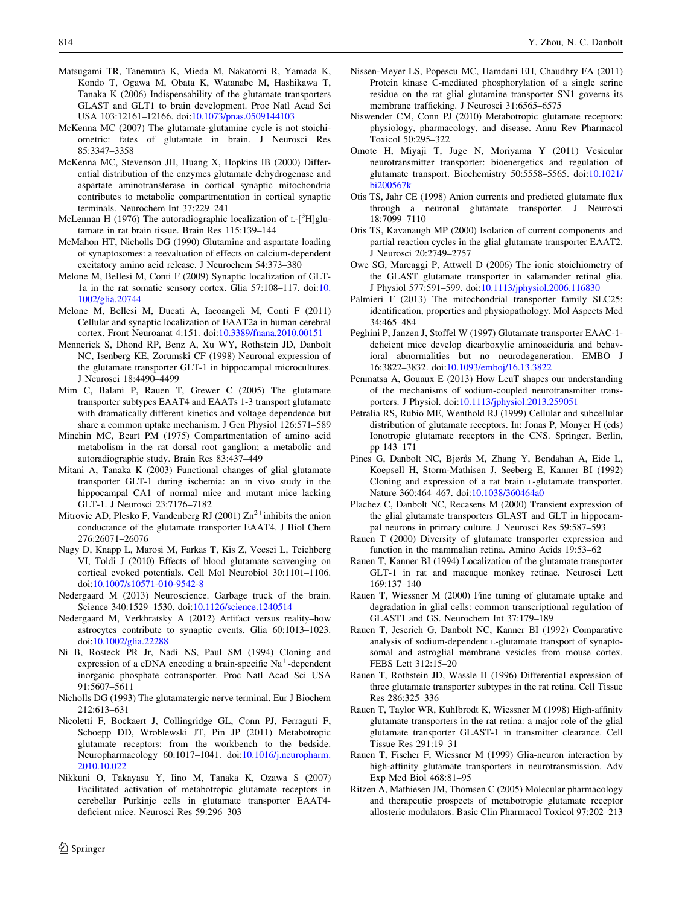- <span id="page-15-0"></span>Matsugami TR, Tanemura K, Mieda M, Nakatomi R, Yamada K, Kondo T, Ogawa M, Obata K, Watanabe M, Hashikawa T, Tanaka K (2006) Indispensability of the glutamate transporters GLAST and GLT1 to brain development. Proc Natl Acad Sci USA 103:12161–12166. doi:[10.1073/pnas.0509144103](http://dx.doi.org/10.1073/pnas.0509144103)
- McKenna MC (2007) The glutamate-glutamine cycle is not stoichiometric: fates of glutamate in brain. J Neurosci Res 85:3347–3358
- McKenna MC, Stevenson JH, Huang X, Hopkins IB (2000) Differential distribution of the enzymes glutamate dehydrogenase and aspartate aminotransferase in cortical synaptic mitochondria contributes to metabolic compartmentation in cortical synaptic terminals. Neurochem Int 37:229–241
- McLennan H (1976) The autoradiographic localization of  $L$ -[<sup>3</sup>H]glutamate in rat brain tissue. Brain Res 115:139–144
- McMahon HT, Nicholls DG (1990) Glutamine and aspartate loading of synaptosomes: a reevaluation of effects on calcium-dependent excitatory amino acid release. J Neurochem 54:373–380
- Melone M, Bellesi M, Conti F (2009) Synaptic localization of GLT-1a in the rat somatic sensory cortex. Glia 57:108–117. doi:[10.](http://dx.doi.org/10.1002/glia.20744) [1002/glia.20744](http://dx.doi.org/10.1002/glia.20744)
- Melone M, Bellesi M, Ducati A, Iacoangeli M, Conti F (2011) Cellular and synaptic localization of EAAT2a in human cerebral cortex. Front Neuroanat 4:151. doi[:10.3389/fnana.2010.00151](http://dx.doi.org/10.3389/fnana.2010.00151)
- Mennerick S, Dhond RP, Benz A, Xu WY, Rothstein JD, Danbolt NC, Isenberg KE, Zorumski CF (1998) Neuronal expression of the glutamate transporter GLT-1 in hippocampal microcultures. J Neurosci 18:4490–4499
- Mim C, Balani P, Rauen T, Grewer C (2005) The glutamate transporter subtypes EAAT4 and EAATs 1-3 transport glutamate with dramatically different kinetics and voltage dependence but share a common uptake mechanism. J Gen Physiol 126:571–589
- Minchin MC, Beart PM (1975) Compartmentation of amino acid metabolism in the rat dorsal root ganglion; a metabolic and autoradiographic study. Brain Res 83:437–449
- Mitani A, Tanaka K (2003) Functional changes of glial glutamate transporter GLT-1 during ischemia: an in vivo study in the hippocampal CA1 of normal mice and mutant mice lacking GLT-1. J Neurosci 23:7176–7182
- Mitrovic AD, Plesko F, Vandenberg RJ (2001)  $\text{Zn}^2$  inhibits the anion conductance of the glutamate transporter EAAT4. J Biol Chem 276:26071–26076
- Nagy D, Knapp L, Marosi M, Farkas T, Kis Z, Vecsei L, Teichberg VI, Toldi J (2010) Effects of blood glutamate scavenging on cortical evoked potentials. Cell Mol Neurobiol 30:1101–1106. doi[:10.1007/s10571-010-9542-8](http://dx.doi.org/10.1007/s10571-010-9542-8)
- Nedergaard M (2013) Neuroscience. Garbage truck of the brain. Science 340:1529–1530. doi:[10.1126/science.1240514](http://dx.doi.org/10.1126/science.1240514)
- Nedergaard M, Verkhratsky A (2012) Artifact versus reality–how astrocytes contribute to synaptic events. Glia 60:1013–1023. doi[:10.1002/glia.22288](http://dx.doi.org/10.1002/glia.22288)
- Ni B, Rosteck PR Jr, Nadi NS, Paul SM (1994) Cloning and expression of a cDNA encoding a brain-specific  $Na<sup>+</sup>$ -dependent inorganic phosphate cotransporter. Proc Natl Acad Sci USA 91:5607–5611
- Nicholls DG (1993) The glutamatergic nerve terminal. Eur J Biochem 212:613–631
- Nicoletti F, Bockaert J, Collingridge GL, Conn PJ, Ferraguti F, Schoepp DD, Wroblewski JT, Pin JP (2011) Metabotropic glutamate receptors: from the workbench to the bedside. Neuropharmacology 60:1017–1041. doi:[10.1016/j.neuropharm.](http://dx.doi.org/10.1016/j.neuropharm.2010.10.022) [2010.10.022](http://dx.doi.org/10.1016/j.neuropharm.2010.10.022)
- Nikkuni O, Takayasu Y, Iino M, Tanaka K, Ozawa S (2007) Facilitated activation of metabotropic glutamate receptors in cerebellar Purkinje cells in glutamate transporter EAAT4 deficient mice. Neurosci Res 59:296–303
- Niswender CM, Conn PJ (2010) Metabotropic glutamate receptors: physiology, pharmacology, and disease. Annu Rev Pharmacol Toxicol 50:295–322
- Omote H, Miyaji T, Juge N, Moriyama Y (2011) Vesicular neurotransmitter transporter: bioenergetics and regulation of glutamate transport. Biochemistry 50:5558–5565. doi[:10.1021/](http://dx.doi.org/10.1021/bi200567k) [bi200567k](http://dx.doi.org/10.1021/bi200567k)
- Otis TS, Jahr CE (1998) Anion currents and predicted glutamate flux through a neuronal glutamate transporter. J Neurosci 18:7099–7110
- Otis TS, Kavanaugh MP (2000) Isolation of current components and partial reaction cycles in the glial glutamate transporter EAAT2. J Neurosci 20:2749–2757
- Owe SG, Marcaggi P, Attwell D (2006) The ionic stoichiometry of the GLAST glutamate transporter in salamander retinal glia. J Physiol 577:591–599. doi[:10.1113/jphysiol.2006.116830](http://dx.doi.org/10.1113/jphysiol.2006.116830)
- Palmieri F (2013) The mitochondrial transporter family SLC25: identification, properties and physiopathology. Mol Aspects Med 34:465–484
- Peghini P, Janzen J, Stoffel W (1997) Glutamate transporter EAAC-1 deficient mice develop dicarboxylic aminoaciduria and behavioral abnormalities but no neurodegeneration. EMBO J 16:3822–3832. doi[:10.1093/emboj/16.13.3822](http://dx.doi.org/10.1093/emboj/16.13.3822)
- Penmatsa A, Gouaux E (2013) How LeuT shapes our understanding of the mechanisms of sodium-coupled neurotransmitter transporters. J Physiol. doi[:10.1113/jphysiol.2013.259051](http://dx.doi.org/10.1113/jphysiol.2013.259051)
- Petralia RS, Rubio ME, Wenthold RJ (1999) Cellular and subcellular distribution of glutamate receptors. In: Jonas P, Monyer H (eds) Ionotropic glutamate receptors in the CNS. Springer, Berlin, pp 143–171
- Pines G, Danbolt NC, Bjørås M, Zhang Y, Bendahan A, Eide L, Koepsell H, Storm-Mathisen J, Seeberg E, Kanner BI (1992) Cloning and expression of a rat brain L-glutamate transporter. Nature 360:464–467. doi[:10.1038/360464a0](http://dx.doi.org/10.1038/360464a0)
- Plachez C, Danbolt NC, Recasens M (2000) Transient expression of the glial glutamate transporters GLAST and GLT in hippocampal neurons in primary culture. J Neurosci Res 59:587–593
- Rauen T (2000) Diversity of glutamate transporter expression and function in the mammalian retina. Amino Acids 19:53–62
- Rauen T, Kanner BI (1994) Localization of the glutamate transporter GLT-1 in rat and macaque monkey retinae. Neurosci Lett 169:137–140
- Rauen T, Wiessner M (2000) Fine tuning of glutamate uptake and degradation in glial cells: common transcriptional regulation of GLAST1 and GS. Neurochem Int 37:179–189
- Rauen T, Jeserich G, Danbolt NC, Kanner BI (1992) Comparative analysis of sodium-dependent L-glutamate transport of synaptosomal and astroglial membrane vesicles from mouse cortex. FEBS Lett 312:15–20
- Rauen T, Rothstein JD, Wassle H (1996) Differential expression of three glutamate transporter subtypes in the rat retina. Cell Tissue Res 286:325–336
- Rauen T, Taylor WR, Kuhlbrodt K, Wiessner M (1998) High-affinity glutamate transporters in the rat retina: a major role of the glial glutamate transporter GLAST-1 in transmitter clearance. Cell Tissue Res 291:19–31
- Rauen T, Fischer F, Wiessner M (1999) Glia-neuron interaction by high-affinity glutamate transporters in neurotransmission. Adv Exp Med Biol 468:81–95
- Ritzen A, Mathiesen JM, Thomsen C (2005) Molecular pharmacology and therapeutic prospects of metabotropic glutamate receptor allosteric modulators. Basic Clin Pharmacol Toxicol 97:202–213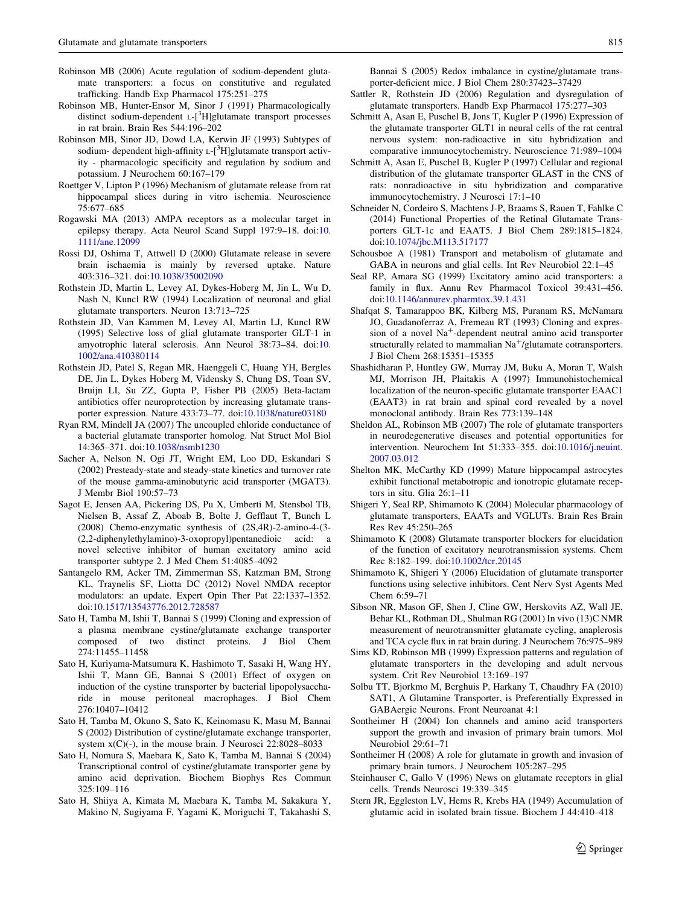- <span id="page-16-0"></span>Robinson MB (2006) Acute regulation of sodium-dependent glutamate transporters: a focus on constitutive and regulated trafficking. Handb Exp Pharmacol 175:251–275
- Robinson MB, Hunter-Ensor M, Sinor J (1991) Pharmacologically distinct sodium-dependent L-[<sup>3</sup>H]glutamate transport processes in rat brain. Brain Res 544:196–202
- Robinson MB, Sinor JD, Dowd LA, Kerwin JF (1993) Subtypes of sodium- dependent high-affinity L-[<sup>3</sup>H]glutamate transport activity - pharmacologic specificity and regulation by sodium and potassium. J Neurochem 60:167–179
- Roettger V, Lipton P (1996) Mechanism of glutamate release from rat hippocampal slices during in vitro ischemia. Neuroscience 75:677–685
- Rogawski MA (2013) AMPA receptors as a molecular target in epilepsy therapy. Acta Neurol Scand Suppl 197:9–18. doi:[10.](http://dx.doi.org/10.1111/ane.12099) [1111/ane.12099](http://dx.doi.org/10.1111/ane.12099)
- Rossi DJ, Oshima T, Attwell D (2000) Glutamate release in severe brain ischaemia is mainly by reversed uptake. Nature 403:316–321. doi:[10.1038/35002090](http://dx.doi.org/10.1038/35002090)
- Rothstein JD, Martin L, Levey AI, Dykes-Hoberg M, Jin L, Wu D, Nash N, Kuncl RW (1994) Localization of neuronal and glial glutamate transporters. Neuron 13:713–725
- Rothstein JD, Van Kammen M, Levey AI, Martin LJ, Kuncl RW (1995) Selective loss of glial glutamate transporter GLT-1 in amyotrophic lateral sclerosis. Ann Neurol 38:73–84. doi:[10.](http://dx.doi.org/10.1002/ana.410380114) [1002/ana.410380114](http://dx.doi.org/10.1002/ana.410380114)
- Rothstein JD, Patel S, Regan MR, Haenggeli C, Huang YH, Bergles DE, Jin L, Dykes Hoberg M, Vidensky S, Chung DS, Toan SV, Bruijn LI, Su ZZ, Gupta P, Fisher PB (2005) Beta-lactam antibiotics offer neuroprotection by increasing glutamate transporter expression. Nature 433:73–77. doi:[10.1038/nature03180](http://dx.doi.org/10.1038/nature03180)
- Ryan RM, Mindell JA (2007) The uncoupled chloride conductance of a bacterial glutamate transporter homolog. Nat Struct Mol Biol 14:365–371. doi:[10.1038/nsmb1230](http://dx.doi.org/10.1038/nsmb1230)
- Sacher A, Nelson N, Ogi JT, Wright EM, Loo DD, Eskandari S (2002) Presteady-state and steady-state kinetics and turnover rate of the mouse gamma-aminobutyric acid transporter (MGAT3). J Membr Biol 190:57–73
- Sagot E, Jensen AA, Pickering DS, Pu X, Umberti M, Stensbol TB, Nielsen B, Assaf Z, Aboab B, Bolte J, Gefflaut T, Bunch L (2008) Chemo-enzymatic synthesis of (2S,4R)-2-amino-4-(3- (2,2-diphenylethylamino)-3-oxopropyl)pentanedioic acid: a novel selective inhibitor of human excitatory amino acid transporter subtype 2. J Med Chem 51:4085–4092
- Santangelo RM, Acker TM, Zimmerman SS, Katzman BM, Strong KL, Traynelis SF, Liotta DC (2012) Novel NMDA receptor modulators: an update. Expert Opin Ther Pat 22:1337–1352. doi[:10.1517/13543776.2012.728587](http://dx.doi.org/10.1517/13543776.2012.728587)
- Sato H, Tamba M, Ishii T, Bannai S (1999) Cloning and expression of a plasma membrane cystine/glutamate exchange transporter composed of two distinct proteins. J Biol Chem 274:11455–11458
- Sato H, Kuriyama-Matsumura K, Hashimoto T, Sasaki H, Wang HY, Ishii T, Mann GE, Bannai S (2001) Effect of oxygen on induction of the cystine transporter by bacterial lipopolysaccharide in mouse peritoneal macrophages. J Biol Chem 276:10407–10412
- Sato H, Tamba M, Okuno S, Sato K, Keinomasu K, Masu M, Bannai S (2002) Distribution of cystine/glutamate exchange transporter, system x(C)(-), in the mouse brain. J Neurosci 22:8028–8033
- Sato H, Nomura S, Maebara K, Sato K, Tamba M, Bannai S (2004) Transcriptional control of cystine/glutamate transporter gene by amino acid deprivation. Biochem Biophys Res Commun 325:109–116
- Sato H, Shiiya A, Kimata M, Maebara K, Tamba M, Sakakura Y, Makino N, Sugiyama F, Yagami K, Moriguchi T, Takahashi S,

Bannai S (2005) Redox imbalance in cystine/glutamate transporter-deficient mice. J Biol Chem 280:37423–37429

- Sattler R, Rothstein JD (2006) Regulation and dysregulation of glutamate transporters. Handb Exp Pharmacol 175:277–303
- Schmitt A, Asan E, Puschel B, Jons T, Kugler P (1996) Expression of the glutamate transporter GLT1 in neural cells of the rat central nervous system: non-radioactive in situ hybridization and comparative immunocytochemistry. Neuroscience 71:989–1004
- Schmitt A, Asan E, Puschel B, Kugler P (1997) Cellular and regional distribution of the glutamate transporter GLAST in the CNS of rats: nonradioactive in situ hybridization and comparative immunocytochemistry. J Neurosci 17:1–10
- Schneider N, Cordeiro S, Machtens J-P, Braams S, Rauen T, Fahlke C (2014) Functional Properties of the Retinal Glutamate Transporters GLT-1c and EAAT5. J Biol Chem 289:1815–1824. doi[:10.1074/jbc.M113.517177](http://dx.doi.org/10.1074/jbc.M113.517177)
- Schousboe A (1981) Transport and metabolism of glutamate and GABA in neurons and glial cells. Int Rev Neurobiol 22:1–45
- Seal RP, Amara SG (1999) Excitatory amino acid transporters: a family in flux. Annu Rev Pharmacol Toxicol 39:431–456. doi[:10.1146/annurev.pharmtox.39.1.431](http://dx.doi.org/10.1146/annurev.pharmtox.39.1.431)
- Shafqat S, Tamarappoo BK, Kilberg MS, Puranam RS, McNamara JO, Guadanoferraz A, Fremeau RT (1993) Cloning and expression of a novel  $Na<sup>+</sup>$ -dependent neutral amino acid transporter structurally related to mammalian  $Na<sup>+</sup>/glutamate$  cotransporters. J Biol Chem 268:15351–15355
- Shashidharan P, Huntley GW, Murray JM, Buku A, Moran T, Walsh MJ, Morrison JH, Plaitakis A (1997) Immunohistochemical localization of the neuron-specific glutamate transporter EAAC1 (EAAT3) in rat brain and spinal cord revealed by a novel monoclonal antibody. Brain Res 773:139–148
- Sheldon AL, Robinson MB (2007) The role of glutamate transporters in neurodegenerative diseases and potential opportunities for intervention. Neurochem Int 51:333–355. doi[:10.1016/j.neuint.](http://dx.doi.org/10.1016/j.neuint.2007.03.012) [2007.03.012](http://dx.doi.org/10.1016/j.neuint.2007.03.012)
- Shelton MK, McCarthy KD (1999) Mature hippocampal astrocytes exhibit functional metabotropic and ionotropic glutamate receptors in situ. Glia 26:1–11
- Shigeri Y, Seal RP, Shimamoto K (2004) Molecular pharmacology of glutamate transporters, EAATs and VGLUTs. Brain Res Brain Res Rev 45:250–265
- Shimamoto K (2008) Glutamate transporter blockers for elucidation of the function of excitatory neurotransmission systems. Chem Rec 8:182–199. doi:[10.1002/tcr.20145](http://dx.doi.org/10.1002/tcr.20145)
- Shimamoto K, Shigeri Y (2006) Elucidation of glutamate transporter functions using selective inhibitors. Cent Nerv Syst Agents Med Chem 6:59–71
- Sibson NR, Mason GF, Shen J, Cline GW, Herskovits AZ, Wall JE, Behar KL, Rothman DL, Shulman RG (2001) In vivo (13)C NMR measurement of neurotransmitter glutamate cycling, anaplerosis and TCA cycle flux in rat brain during. J Neurochem 76:975–989
- Sims KD, Robinson MB (1999) Expression patterns and regulation of glutamate transporters in the developing and adult nervous system. Crit Rev Neurobiol 13:169–197
- Solbu TT, Bjorkmo M, Berghuis P, Harkany T, Chaudhry FA (2010) SAT1, A Glutamine Transporter, is Preferentially Expressed in GABAergic Neurons. Front Neuroanat 4:1
- Sontheimer H (2004) Ion channels and amino acid transporters support the growth and invasion of primary brain tumors. Mol Neurobiol 29:61–71
- Sontheimer H (2008) A role for glutamate in growth and invasion of primary brain tumors. J Neurochem 105:287–295
- Steinhauser C, Gallo V (1996) News on glutamate receptors in glial cells. Trends Neurosci 19:339–345
- Stern JR, Eggleston LV, Hems R, Krebs HA (1949) Accumulation of glutamic acid in isolated brain tissue. Biochem J 44:410–418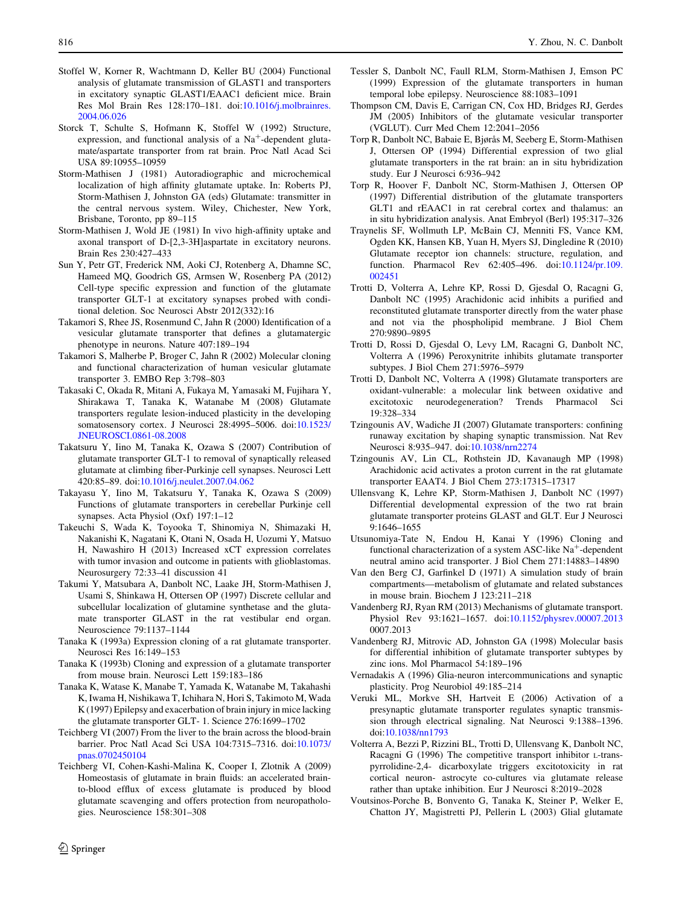- <span id="page-17-0"></span>Stoffel W, Korner R, Wachtmann D, Keller BU (2004) Functional analysis of glutamate transmission of GLAST1 and transporters in excitatory synaptic GLAST1/EAAC1 deficient mice. Brain Res Mol Brain Res 128:170–181. doi:[10.1016/j.molbrainres.](http://dx.doi.org/10.1016/j.molbrainres.2004.06.026) [2004.06.026](http://dx.doi.org/10.1016/j.molbrainres.2004.06.026)
- Storck T, Schulte S, Hofmann K, Stoffel W (1992) Structure, expression, and functional analysis of a  $Na<sup>+</sup>$ -dependent glutamate/aspartate transporter from rat brain. Proc Natl Acad Sci USA 89:10955–10959
- Storm-Mathisen J (1981) Autoradiographic and microchemical localization of high affinity glutamate uptake. In: Roberts PJ, Storm-Mathisen J, Johnston GA (eds) Glutamate: transmitter in the central nervous system. Wiley, Chichester, New York, Brisbane, Toronto, pp 89–115
- Storm-Mathisen J, Wold JE (1981) In vivo high-affinity uptake and axonal transport of D-[2,3-3H]aspartate in excitatory neurons. Brain Res 230:427–433
- Sun Y, Petr GT, Frederick NM, Aoki CJ, Rotenberg A, Dhamne SC, Hameed MQ, Goodrich GS, Armsen W, Rosenberg PA (2012) Cell-type specific expression and function of the glutamate transporter GLT-1 at excitatory synapses probed with conditional deletion. Soc Neurosci Abstr 2012(332):16
- Takamori S, Rhee JS, Rosenmund C, Jahn R (2000) Identification of a vesicular glutamate transporter that defines a glutamatergic phenotype in neurons. Nature 407:189–194
- Takamori S, Malherbe P, Broger C, Jahn R (2002) Molecular cloning and functional characterization of human vesicular glutamate transporter 3. EMBO Rep 3:798–803
- Takasaki C, Okada R, Mitani A, Fukaya M, Yamasaki M, Fujihara Y, Shirakawa T, Tanaka K, Watanabe M (2008) Glutamate transporters regulate lesion-induced plasticity in the developing somatosensory cortex. J Neurosci 28:4995–5006. doi[:10.1523/](http://dx.doi.org/10.1523/JNEUROSCI.0861-08.2008) [JNEUROSCI.0861-08.2008](http://dx.doi.org/10.1523/JNEUROSCI.0861-08.2008)
- Takatsuru Y, Iino M, Tanaka K, Ozawa S (2007) Contribution of glutamate transporter GLT-1 to removal of synaptically released glutamate at climbing fiber-Purkinje cell synapses. Neurosci Lett 420:85–89. doi[:10.1016/j.neulet.2007.04.062](http://dx.doi.org/10.1016/j.neulet.2007.04.062)
- Takayasu Y, Iino M, Takatsuru Y, Tanaka K, Ozawa S (2009) Functions of glutamate transporters in cerebellar Purkinje cell synapses. Acta Physiol (Oxf) 197:1–12
- Takeuchi S, Wada K, Toyooka T, Shinomiya N, Shimazaki H, Nakanishi K, Nagatani K, Otani N, Osada H, Uozumi Y, Matsuo H, Nawashiro H (2013) Increased xCT expression correlates with tumor invasion and outcome in patients with glioblastomas. Neurosurgery 72:33–41 discussion 41
- Takumi Y, Matsubara A, Danbolt NC, Laake JH, Storm-Mathisen J, Usami S, Shinkawa H, Ottersen OP (1997) Discrete cellular and subcellular localization of glutamine synthetase and the glutamate transporter GLAST in the rat vestibular end organ. Neuroscience 79:1137–1144
- Tanaka K (1993a) Expression cloning of a rat glutamate transporter. Neurosci Res 16:149–153
- Tanaka K (1993b) Cloning and expression of a glutamate transporter from mouse brain. Neurosci Lett 159:183–186
- Tanaka K, Watase K, Manabe T, Yamada K, Watanabe M, Takahashi K, Iwama H, Nishikawa T, Ichihara N, Hori S, Takimoto M, Wada K (1997) Epilepsy and exacerbation of brain injury in mice lacking the glutamate transporter GLT- 1. Science 276:1699–1702
- Teichberg VI (2007) From the liver to the brain across the blood-brain barrier. Proc Natl Acad Sci USA 104:7315–7316. doi[:10.1073/](http://dx.doi.org/10.1073/pnas.0702450104) [pnas.0702450104](http://dx.doi.org/10.1073/pnas.0702450104)
- Teichberg VI, Cohen-Kashi-Malina K, Cooper I, Zlotnik A (2009) Homeostasis of glutamate in brain fluids: an accelerated brainto-blood efflux of excess glutamate is produced by blood glutamate scavenging and offers protection from neuropathologies. Neuroscience 158:301–308
- Tessler S, Danbolt NC, Faull RLM, Storm-Mathisen J, Emson PC (1999) Expression of the glutamate transporters in human temporal lobe epilepsy. Neuroscience 88:1083–1091
- Thompson CM, Davis E, Carrigan CN, Cox HD, Bridges RJ, Gerdes JM (2005) Inhibitors of the glutamate vesicular transporter (VGLUT). Curr Med Chem 12:2041–2056
- Torp R, Danbolt NC, Babaie E, Bjørås M, Seeberg E, Storm-Mathisen J, Ottersen OP (1994) Differential expression of two glial glutamate transporters in the rat brain: an in situ hybridization study. Eur J Neurosci 6:936–942
- Torp R, Hoover F, Danbolt NC, Storm-Mathisen J, Ottersen OP (1997) Differential distribution of the glutamate transporters GLT1 and rEAAC1 in rat cerebral cortex and thalamus: an in situ hybridization analysis. Anat Embryol (Berl) 195:317–326
- Traynelis SF, Wollmuth LP, McBain CJ, Menniti FS, Vance KM, Ogden KK, Hansen KB, Yuan H, Myers SJ, Dingledine R (2010) Glutamate receptor ion channels: structure, regulation, and function. Pharmacol Rev 62:405–496. doi[:10.1124/pr.109.](http://dx.doi.org/10.1124/pr.109.002451) [002451](http://dx.doi.org/10.1124/pr.109.002451)
- Trotti D, Volterra A, Lehre KP, Rossi D, Gjesdal O, Racagni G, Danbolt NC (1995) Arachidonic acid inhibits a purified and reconstituted glutamate transporter directly from the water phase and not via the phospholipid membrane. J Biol Chem 270:9890–9895
- Trotti D, Rossi D, Gjesdal O, Levy LM, Racagni G, Danbolt NC, Volterra A (1996) Peroxynitrite inhibits glutamate transporter subtypes. J Biol Chem 271:5976–5979
- Trotti D, Danbolt NC, Volterra A (1998) Glutamate transporters are oxidant-vulnerable: a molecular link between oxidative and excitotoxic neurodegeneration? Trends Pharmacol Sci 19:328–334
- Tzingounis AV, Wadiche JI (2007) Glutamate transporters: confining runaway excitation by shaping synaptic transmission. Nat Rev Neurosci 8:935–947. doi[:10.1038/nrn2274](http://dx.doi.org/10.1038/nrn2274)
- Tzingounis AV, Lin CL, Rothstein JD, Kavanaugh MP (1998) Arachidonic acid activates a proton current in the rat glutamate transporter EAAT4. J Biol Chem 273:17315–17317
- Ullensvang K, Lehre KP, Storm-Mathisen J, Danbolt NC (1997) Differential developmental expression of the two rat brain glutamate transporter proteins GLAST and GLT. Eur J Neurosci 9:1646–1655
- Utsunomiya-Tate N, Endou H, Kanai Y (1996) Cloning and functional characterization of a system ASC-like  $Na<sup>+</sup>$ -dependent neutral amino acid transporter. J Biol Chem 271:14883–14890
- Van den Berg CJ, Garfinkel D (1971) A simulation study of brain compartments—metabolism of glutamate and related substances in mouse brain. Biochem J 123:211–218
- Vandenberg RJ, Ryan RM (2013) Mechanisms of glutamate transport. Physiol Rev 93:1621–1657. doi[:10.1152/physrev.00007.2013](http://dx.doi.org/10.1152/physrev.00007.2013) 0007.2013
- Vandenberg RJ, Mitrovic AD, Johnston GA (1998) Molecular basis for differential inhibition of glutamate transporter subtypes by zinc ions. Mol Pharmacol 54:189–196
- Vernadakis A (1996) Glia-neuron intercommunications and synaptic plasticity. Prog Neurobiol 49:185–214
- Veruki ML, Morkve SH, Hartveit E (2006) Activation of a presynaptic glutamate transporter regulates synaptic transmission through electrical signaling. Nat Neurosci 9:1388–1396. doi[:10.1038/nn1793](http://dx.doi.org/10.1038/nn1793)
- Volterra A, Bezzi P, Rizzini BL, Trotti D, Ullensvang K, Danbolt NC, Racagni G (1996) The competitive transport inhibitor L-transpyrrolidine-2,4- dicarboxylate triggers excitotoxicity in rat cortical neuron- astrocyte co-cultures via glutamate release rather than uptake inhibition. Eur J Neurosci 8:2019–2028
- Voutsinos-Porche B, Bonvento G, Tanaka K, Steiner P, Welker E, Chatton JY, Magistretti PJ, Pellerin L (2003) Glial glutamate